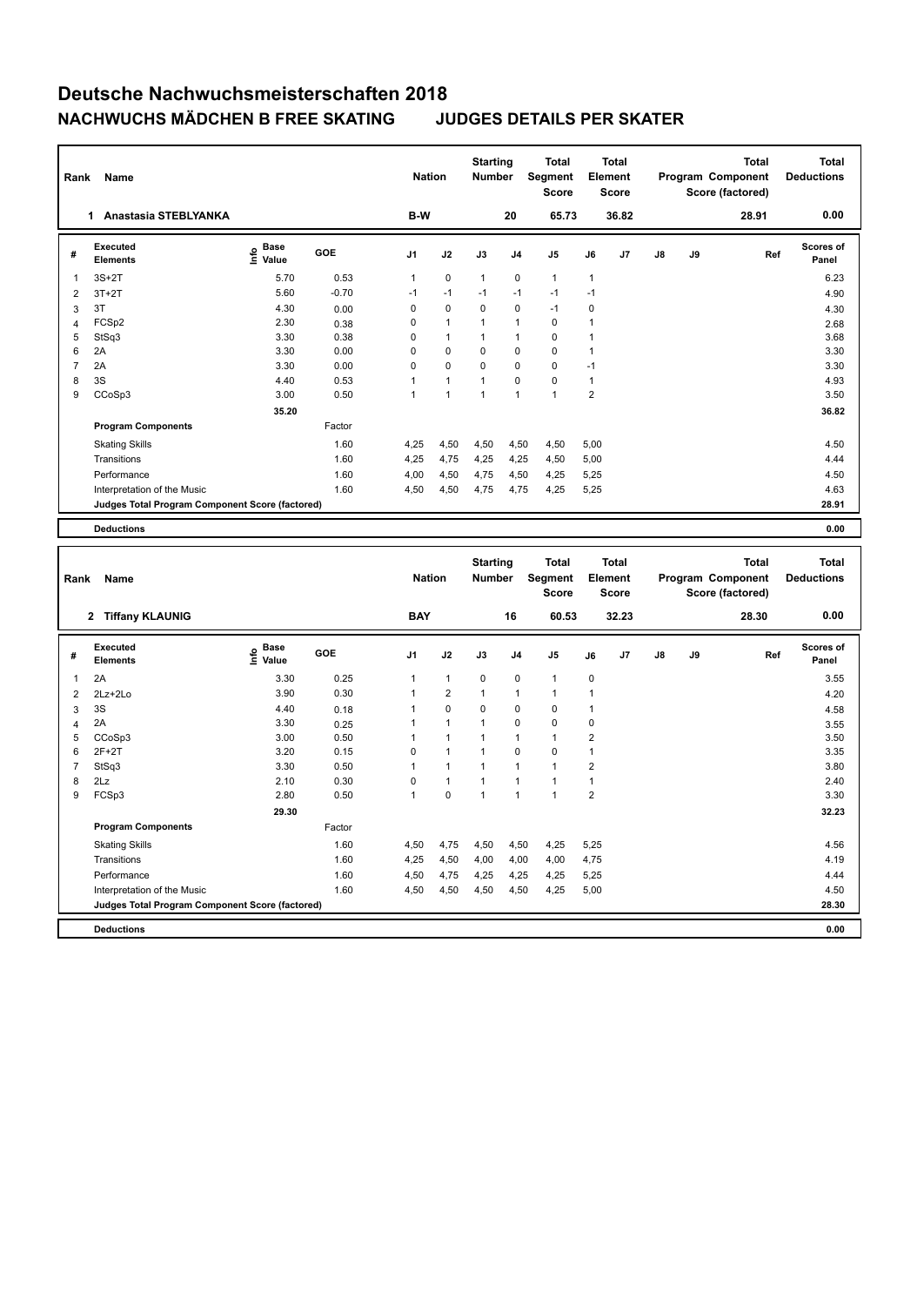| Rank           | Name                                            |                   |         | <b>Nation</b>  |                         | <b>Starting</b><br>Number |                | <b>Total</b><br>Segment<br><b>Score</b> |                | <b>Total</b><br>Element<br><b>Score</b> |    |    | <b>Total</b><br>Program Component<br>Score (factored) |     | <b>Total</b><br><b>Deductions</b> |
|----------------|-------------------------------------------------|-------------------|---------|----------------|-------------------------|---------------------------|----------------|-----------------------------------------|----------------|-----------------------------------------|----|----|-------------------------------------------------------|-----|-----------------------------------|
|                | 1 Anastasia STEBLYANKA                          |                   |         | B-W            |                         |                           | 20             | 65.73                                   |                | 36.82                                   |    |    | 28.91                                                 |     | 0.00                              |
| #              | <b>Executed</b><br><b>Elements</b>              | e Base<br>E Value | GOE     | J1             | J2                      | J3                        | J <sub>4</sub> | J5                                      | J6             | J7                                      | J8 | J9 |                                                       | Ref | <b>Scores of</b><br>Panel         |
| $\mathbf{1}$   | $3S+2T$                                         | 5.70              | 0.53    | $\mathbf{1}$   | $\mathbf 0$             | 1                         | $\mathbf 0$    | $\mathbf{1}$                            | 1              |                                         |    |    |                                                       |     | 6.23                              |
| $\overline{2}$ | $3T+2T$                                         | 5.60              | $-0.70$ | $-1$           | $-1$                    | $-1$                      | $-1$           | $-1$                                    | $-1$           |                                         |    |    |                                                       |     | 4.90                              |
| 3              | 3T                                              | 4.30              | 0.00    | $\mathsf 0$    | $\mathbf 0$             | 0                         | $\mathbf 0$    | $-1$                                    | $\mathbf 0$    |                                         |    |    |                                                       |     | 4.30                              |
| $\overline{4}$ | FCSp2                                           | 2.30              | 0.38    | $\mathsf 0$    | 1                       | 1                         | $\mathbf{1}$   | $\pmb{0}$                               | 1              |                                         |    |    |                                                       |     | 2.68                              |
| 5              | StSq3                                           | 3.30              | 0.38    | 0              | $\mathbf{1}$            | 1                         | $\mathbf{1}$   | $\mathbf 0$                             | $\mathbf{1}$   |                                         |    |    |                                                       |     | 3.68                              |
| 6              | 2A                                              | 3.30              | 0.00    | $\mathsf 0$    | 0                       | 0                         | $\mathbf 0$    | $\mathbf 0$                             | $\mathbf{1}$   |                                         |    |    |                                                       |     | 3.30                              |
| $\overline{7}$ | 2A                                              | 3.30              | 0.00    | $\mathsf 0$    | 0                       | 0                         | $\mathbf 0$    | $\pmb{0}$                               | $-1$           |                                         |    |    |                                                       |     | 3.30                              |
| 8              | 3S                                              | 4.40              | 0.53    | $\mathbf{1}$   | 1                       | 1                         | $\mathbf 0$    | $\pmb{0}$                               | $\mathbf{1}$   |                                         |    |    |                                                       |     | 4.93                              |
| 9              | CCoSp3                                          | 3.00              | 0.50    | $\mathbf{1}$   | $\overline{1}$          | 1                         | $\overline{1}$ | $\overline{1}$                          | $\overline{2}$ |                                         |    |    |                                                       |     | 3.50                              |
|                |                                                 | 35.20             |         |                |                         |                           |                |                                         |                |                                         |    |    |                                                       |     | 36.82                             |
|                | <b>Program Components</b>                       |                   | Factor  |                |                         |                           |                |                                         |                |                                         |    |    |                                                       |     |                                   |
|                | <b>Skating Skills</b>                           |                   | 1.60    | 4,25           | 4,50                    | 4,50                      | 4,50           | 4,50                                    | 5,00           |                                         |    |    |                                                       |     | 4.50                              |
|                | Transitions                                     |                   | 1.60    | 4,25           | 4,75                    | 4,25                      | 4,25           | 4,50                                    | 5,00           |                                         |    |    |                                                       |     | 4.44                              |
|                | Performance                                     |                   | 1.60    | 4,00           | 4,50                    | 4,75                      | 4,50           | 4,25                                    | 5,25           |                                         |    |    |                                                       |     | 4.50                              |
|                | Interpretation of the Music                     |                   | 1.60    | 4,50           | 4,50                    | 4,75                      | 4,75           | 4,25                                    | 5,25           |                                         |    |    |                                                       |     | 4.63                              |
|                | Judges Total Program Component Score (factored) |                   |         |                |                         |                           |                |                                         |                |                                         |    |    |                                                       |     | 28.91                             |
|                |                                                 |                   |         |                |                         |                           |                |                                         |                |                                         |    |    |                                                       |     |                                   |
|                | <b>Deductions</b>                               |                   |         |                |                         |                           |                |                                         |                |                                         |    |    |                                                       |     | 0.00                              |
|                |                                                 |                   |         |                |                         |                           |                |                                         |                |                                         |    |    |                                                       |     |                                   |
|                |                                                 |                   |         |                |                         |                           |                |                                         |                |                                         |    |    |                                                       |     |                                   |
|                |                                                 |                   |         |                |                         | <b>Starting</b>           |                | <b>Total</b>                            |                | <b>Total</b>                            |    |    | <b>Total</b>                                          |     | <b>Total</b>                      |
| Rank           | Name                                            |                   |         | <b>Nation</b>  |                         | Number                    |                | Segment                                 |                | Element                                 |    |    | Program Component                                     |     | <b>Deductions</b>                 |
|                |                                                 |                   |         |                |                         |                           |                | <b>Score</b>                            |                | <b>Score</b>                            |    |    | Score (factored)                                      |     |                                   |
|                | 2 Tiffany KLAUNIG                               |                   |         | <b>BAY</b>     |                         |                           | 16             | 60.53                                   |                | 32.23                                   |    |    | 28.30                                                 |     | 0.00                              |
| #              | <b>Executed</b>                                 |                   | GOE     | J <sub>1</sub> | J2                      | J3                        | J <sub>4</sub> | J <sub>5</sub>                          | J6             | J7                                      | J8 | J9 |                                                       | Ref | Scores of                         |
|                | <b>Elements</b>                                 | e Base<br>E Value |         |                |                         |                           |                |                                         |                |                                         |    |    |                                                       |     | Panel                             |
| $\mathbf{1}$   | 2A                                              | 3.30              | 0.25    | 1              | 1                       | 0                         | $\mathbf 0$    | $\mathbf{1}$                            | 0              |                                         |    |    |                                                       |     | 3.55                              |
| $\overline{2}$ | $2Lz + 2Lo$                                     | 3.90              | 0.30    | $\mathbf{1}$   | $\overline{\mathbf{c}}$ | $\overline{1}$            | $\mathbf{1}$   | $\mathbf{1}$                            | $\mathbf{1}$   |                                         |    |    |                                                       |     | 4.20                              |
| 3              | 3S                                              | 4.40              | 0.18    | 1              | 0                       | 0                         | $\mathbf 0$    | $\pmb{0}$                               | $\mathbf{1}$   |                                         |    |    |                                                       |     | 4.58                              |
| $\overline{4}$ | 2A                                              | 3.30              | 0.25    | 1              | 1                       | 1                         | $\mathbf 0$    | $\mathbf 0$                             | $\mathbf 0$    |                                         |    |    |                                                       |     | 3.55                              |
| 5              | CCoSp3                                          | 3.00              | 0.50    | $\mathbf{1}$   | 1                       | 1                         | $\mathbf{1}$   | $\mathbf{1}$                            | $\overline{c}$ |                                         |    |    |                                                       |     | 3.50                              |
| 6              | $2F+2T$                                         | 3.20              | 0.15    | $\mathbf 0$    | $\mathbf{1}$            | 1                         | $\mathbf 0$    | $\mathbf 0$                             | $\mathbf{1}$   |                                         |    |    |                                                       |     | 3.35                              |
| $\overline{7}$ | StSq3                                           | 3.30              | 0.50    | 1              | 1                       | 1                         | $\mathbf{1}$   | $\mathbf{1}$                            | $\overline{2}$ |                                         |    |    |                                                       |     | 3.80                              |
| 8              | 2Lz                                             | 2.10              | 0.30    | $\mathsf 0$    | 1                       | 1                         | $\mathbf{1}$   | $\mathbf{1}$                            | $\mathbf{1}$   |                                         |    |    |                                                       |     | 2.40                              |
| 9              | FCSp3                                           | 2.80              | 0.50    | 1              | 0                       | $\mathbf{1}$              | $\mathbf{1}$   | $\mathbf{1}$                            | $\overline{2}$ |                                         |    |    |                                                       |     | 3.30                              |
|                |                                                 | 29.30             |         |                |                         |                           |                |                                         |                |                                         |    |    |                                                       |     | 32.23                             |
|                | <b>Program Components</b>                       |                   | Factor  |                |                         |                           |                |                                         |                |                                         |    |    |                                                       |     |                                   |
|                | <b>Skating Skills</b>                           |                   | 1.60    | 4,50           | 4,75                    | 4,50                      | 4,50           | 4,25                                    | 5,25           |                                         |    |    |                                                       |     | 4.56                              |
|                | Transitions                                     |                   | 1.60    | 4,25           | 4,50                    | 4,00                      | 4,00           | 4,00                                    | 4,75           |                                         |    |    |                                                       |     | 4.19                              |
|                | Performance                                     |                   | 1.60    | 4,50           | 4,75                    | 4,25                      | 4,25           | 4,25                                    | 5,25           |                                         |    |    |                                                       |     | 4.44                              |
|                | Interpretation of the Music                     |                   | 1.60    | 4,50           | 4,50                    | 4,50                      | 4,50           | 4,25                                    | 5,00           |                                         |    |    |                                                       |     | 4.50                              |
|                | Judges Total Program Component Score (factored) |                   |         |                |                         |                           |                |                                         |                |                                         |    |    |                                                       |     | 28.30                             |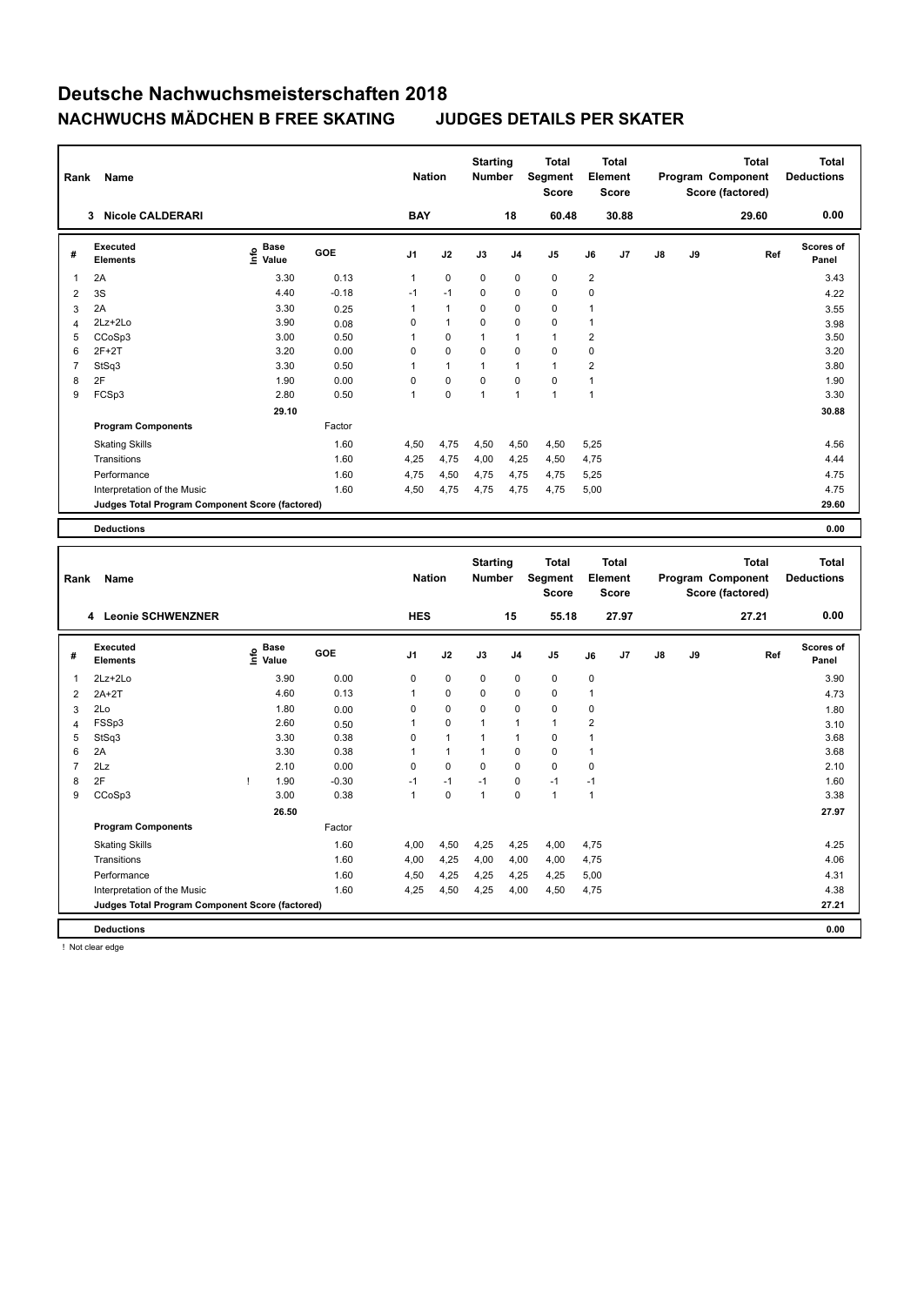| Rank           | Name                                            |                                           |            | <b>Nation</b>  |              | <b>Starting</b><br>Number |              | Total<br>Segment<br><b>Score</b> |                         | <b>Total</b><br>Element<br><b>Score</b> |    |    | <b>Total</b><br>Program Component<br>Score (factored) | <b>Total</b><br><b>Deductions</b> |
|----------------|-------------------------------------------------|-------------------------------------------|------------|----------------|--------------|---------------------------|--------------|----------------------------------|-------------------------|-----------------------------------------|----|----|-------------------------------------------------------|-----------------------------------|
|                | 3 Nicole CALDERARI                              |                                           |            | <b>BAY</b>     |              |                           | 18           | 60.48                            |                         | 30.88                                   |    |    | 29.60                                                 | 0.00                              |
| #              | <b>Executed</b><br><b>Elements</b>              | $\frac{e}{E}$ Base<br>$\frac{e}{E}$ Value | <b>GOE</b> | J1             | J2           | $\mathsf{J3}$             | J4           | J <sub>5</sub>                   | J6                      | J7                                      | J8 | J9 | Ref                                                   | Scores of<br>Panel                |
| $\mathbf{1}$   | 2A                                              | 3.30                                      | 0.13       | $\mathbf{1}$   | 0            | 0                         | $\mathbf 0$  | $\mathbf 0$                      | $\overline{2}$          |                                         |    |    |                                                       | 3.43                              |
| $\overline{2}$ | 3S                                              | 4.40                                      | $-0.18$    | $-1$           | $-1$         | 0                         | $\mathbf 0$  | $\mathbf 0$                      | $\mathbf 0$             |                                         |    |    |                                                       | 4.22                              |
| 3              | 2A                                              | 3.30                                      | 0.25       | $\mathbf{1}$   | $\mathbf{1}$ | 0                         | $\mathbf 0$  | $\pmb{0}$                        | 1                       |                                         |    |    |                                                       | 3.55                              |
| $\overline{4}$ | 2Lz+2Lo                                         | 3.90                                      | 0.08       | $\Omega$       | 1            | 0                         | $\Omega$     | $\Omega$                         | 1                       |                                         |    |    |                                                       | 3.98                              |
| 5              | CCoSp3                                          | 3.00                                      | 0.50       | 1              | $\pmb{0}$    | 1                         | $\mathbf{1}$ | $\mathbf{1}$                     | $\overline{2}$          |                                         |    |    |                                                       | 3.50                              |
| 6              | $2F+2T$                                         | 3.20                                      | 0.00       | $\mathbf 0$    | 0            | 0                         | $\mathbf 0$  | $\mathbf 0$                      | $\mathbf 0$             |                                         |    |    |                                                       | 3.20                              |
| $\overline{7}$ | StSq3                                           | 3.30                                      | 0.50       | 1              | $\mathbf{1}$ | $\mathbf{1}$              | $\mathbf{1}$ | $\mathbf{1}$                     | $\mathbf 2$             |                                         |    |    |                                                       | 3.80                              |
| 8              | 2F                                              | 1.90                                      | 0.00       | $\mathbf 0$    | 0            | 0                         | $\mathbf 0$  | $\mathbf 0$                      | $\mathbf{1}$            |                                         |    |    |                                                       | 1.90                              |
| 9              | FCSp3                                           | 2.80                                      | 0.50       | $\mathbf{1}$   | 0            | $\mathbf{1}$              | $\mathbf{1}$ | $\mathbf{1}$                     | $\mathbf{1}$            |                                         |    |    |                                                       | 3.30                              |
|                |                                                 | 29.10                                     |            |                |              |                           |              |                                  |                         |                                         |    |    |                                                       | 30.88                             |
|                | <b>Program Components</b>                       |                                           | Factor     |                |              |                           |              |                                  |                         |                                         |    |    |                                                       |                                   |
|                | <b>Skating Skills</b>                           |                                           | 1.60       | 4,50           | 4,75         | 4,50                      | 4,50         | 4,50                             | 5,25                    |                                         |    |    |                                                       | 4.56                              |
|                | Transitions                                     |                                           | 1.60       | 4,25           | 4,75         | 4,00                      | 4,25         | 4,50                             | 4,75                    |                                         |    |    |                                                       | 4.44                              |
|                | Performance                                     |                                           | 1.60       | 4,75           | 4,50         | 4,75                      | 4,75         | 4,75                             | 5,25                    |                                         |    |    |                                                       | 4.75                              |
|                | Interpretation of the Music                     |                                           | 1.60       | 4,50           | 4,75         | 4,75                      | 4,75         | 4,75                             | 5,00                    |                                         |    |    |                                                       | 4.75                              |
|                |                                                 |                                           |            |                |              |                           |              |                                  |                         |                                         |    |    |                                                       | 29.60                             |
|                | Judges Total Program Component Score (factored) |                                           |            |                |              |                           |              |                                  |                         |                                         |    |    |                                                       |                                   |
|                | <b>Deductions</b>                               |                                           |            |                |              |                           |              |                                  |                         |                                         |    |    |                                                       | 0.00                              |
|                |                                                 |                                           |            |                |              |                           |              |                                  |                         |                                         |    |    |                                                       |                                   |
| Rank           | Name                                            |                                           |            | <b>Nation</b>  |              | <b>Starting</b><br>Number |              | <b>Total</b><br>Segment<br>Score |                         | <b>Total</b><br>Element<br>Score        |    |    | <b>Total</b><br>Program Component<br>Score (factored) | <b>Total</b><br><b>Deductions</b> |
|                | 4 Leonie SCHWENZNER                             |                                           |            | <b>HES</b>     |              |                           | 15           | 55.18                            |                         | 27.97                                   |    |    | 27.21                                                 | 0.00                              |
| #              | <b>Executed</b>                                 |                                           | GOE        | J <sub>1</sub> | J2           | J3                        | J4           | J5                               | J6                      | J7                                      | J8 | J9 | Ref                                                   | Scores of                         |
|                | <b>Elements</b>                                 | $\overset{\circ}{\text{E}}$ Value         |            |                |              |                           |              |                                  |                         |                                         |    |    |                                                       | Panel                             |
| 1              | 2Lz+2Lo                                         | 3.90                                      | 0.00       | $\mathbf 0$    | $\pmb{0}$    | 0                         | $\mathbf 0$  | $\pmb{0}$                        | $\mathbf 0$             |                                         |    |    |                                                       | 3.90                              |
| $\overline{2}$ | $2A+2T$                                         | 4.60                                      | 0.13       | 1              | 0            | 0                         | $\mathbf 0$  | $\mathbf 0$                      | 1                       |                                         |    |    |                                                       | 4.73                              |
| 3              | 2Lo                                             | 1.80                                      | 0.00       | 0              | 0            | 0                         | $\Omega$     | $\Omega$                         | $\mathbf 0$             |                                         |    |    |                                                       | 1.80                              |
| $\overline{4}$ | FSSp3                                           | 2.60                                      | 0.50       | $\mathbf{1}$   | 0            | 1                         | $\mathbf{1}$ | $\mathbf{1}$                     | $\overline{\mathbf{c}}$ |                                         |    |    |                                                       | 3.10                              |
| 5              | StSq3                                           | 3.30                                      | 0.38       | 0              | 1            | 1                         | $\mathbf{1}$ | $\mathbf 0$                      | 1                       |                                         |    |    |                                                       | 3.68                              |
| 6              | 2A                                              | 3.30                                      | 0.38       | 1              | $\mathbf{1}$ | 1                         | $\mathbf 0$  | $\mathbf 0$                      | $\mathbf{1}$            |                                         |    |    |                                                       | 3.68                              |
| $\overline{7}$ | 2Lz                                             | 2.10                                      | 0.00       | $\mathbf 0$    | 0            | 0                         | $\mathbf 0$  | $\mathbf 0$                      | $\mathbf 0$             |                                         |    |    |                                                       | 2.10                              |
| 8              | 2F                                              | 1.90<br>$\mathsf{I}$                      | $-0.30$    | $-1$           | $-1$         | $-1$                      | $\mathbf 0$  | $-1$                             | $-1$                    |                                         |    |    |                                                       | 1.60                              |
| 9              | CCoSp3                                          | 3.00                                      | 0.38       | $\mathbf{1}$   | 0            | $\overline{1}$            | $\mathbf 0$  | $\overline{1}$                   | $\mathbf{1}$            |                                         |    |    |                                                       | 3.38                              |
|                |                                                 | 26.50                                     |            |                |              |                           |              |                                  |                         |                                         |    |    |                                                       | 27.97                             |
|                | <b>Program Components</b>                       |                                           | Factor     |                |              |                           |              |                                  |                         |                                         |    |    |                                                       |                                   |
|                | <b>Skating Skills</b>                           |                                           | 1.60       | 4,00           | 4,50         | 4,25                      | 4,25         | 4,00                             | 4,75                    |                                         |    |    |                                                       | 4.25                              |
|                | Transitions                                     |                                           | 1.60       | 4,00           | 4,25         | 4,00                      | 4,00         | 4,00                             | 4,75                    |                                         |    |    |                                                       | 4.06                              |
|                | Performance                                     |                                           | 1.60       | 4,50           | 4,25         | 4,25                      | 4,25         | 4,25                             | 5,00                    |                                         |    |    |                                                       | 4.31                              |
|                | Interpretation of the Music                     |                                           | 1.60       | 4,25           | 4,50         | 4,25                      | 4,00         | 4,50                             | 4,75                    |                                         |    |    |                                                       | 4.38                              |
|                | Judges Total Program Component Score (factored) |                                           |            |                |              |                           |              |                                  |                         |                                         |    |    |                                                       | 27.21                             |

! Not clear edge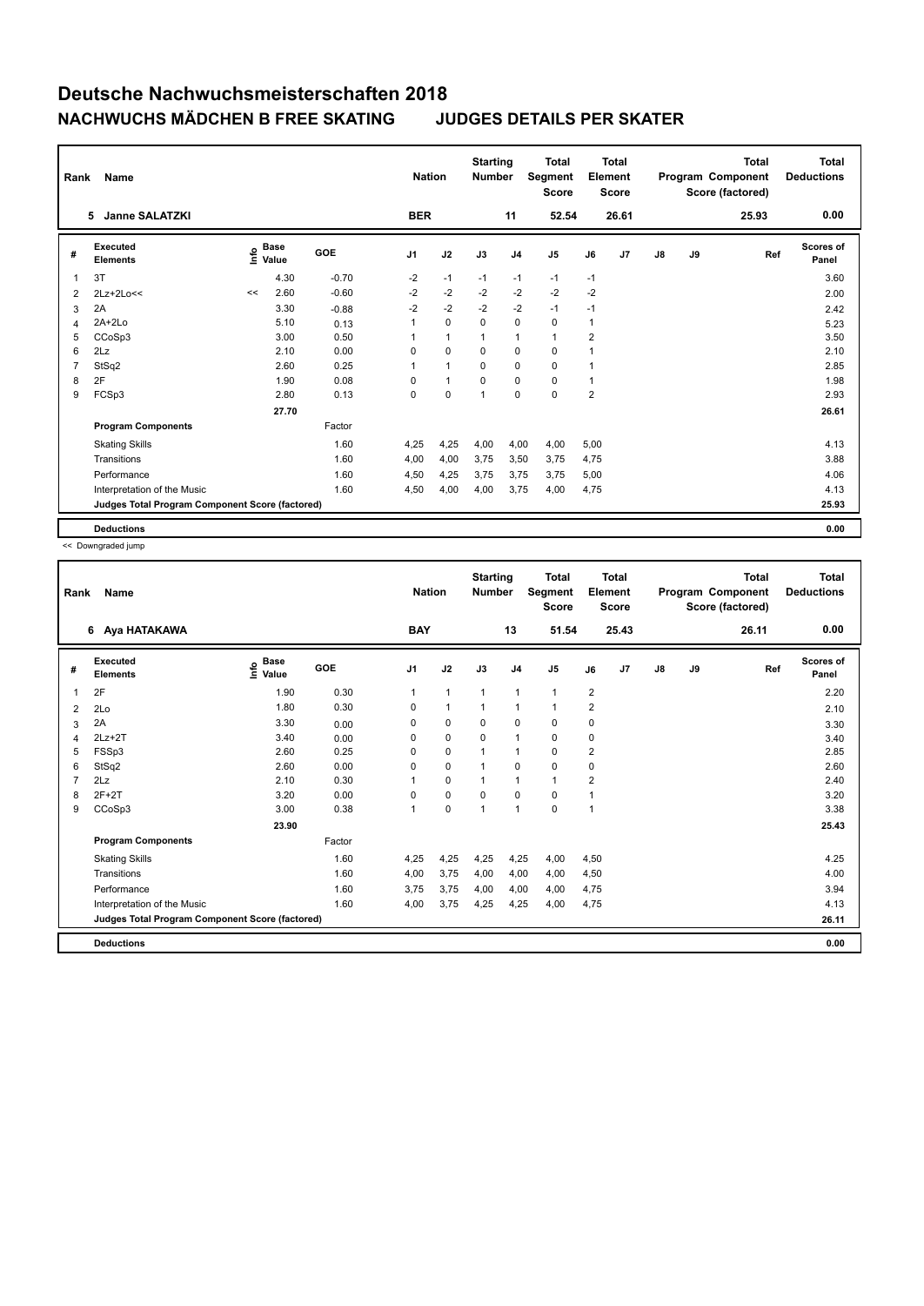| Rank           | Name                                            |      |                      |         | <b>Nation</b>  |              | <b>Starting</b><br><b>Number</b> |                | <b>Total</b><br>Segment<br><b>Score</b> |      | <b>Total</b><br>Element<br><b>Score</b> |               |    | <b>Total</b><br>Program Component<br>Score (factored) | <b>Total</b><br><b>Deductions</b> |
|----------------|-------------------------------------------------|------|----------------------|---------|----------------|--------------|----------------------------------|----------------|-----------------------------------------|------|-----------------------------------------|---------------|----|-------------------------------------------------------|-----------------------------------|
|                | <b>Janne SALATZKI</b><br>5                      |      |                      |         | <b>BER</b>     |              |                                  | 11             | 52.54                                   |      | 26.61                                   |               |    | 25.93                                                 | 0.00                              |
| #              | Executed<br><b>Elements</b>                     | ١nfo | <b>Base</b><br>Value | GOE     | J <sub>1</sub> | J2           | J3                               | J <sub>4</sub> | J <sub>5</sub>                          | J6   | J7                                      | $\mathsf{J}8$ | J9 | Ref                                                   | <b>Scores of</b><br>Panel         |
| 1              | 3T                                              |      | 4.30                 | $-0.70$ | $-2$           | $-1$         | $-1$                             | $-1$           | $-1$                                    | $-1$ |                                         |               |    |                                                       | 3.60                              |
| 2              | 2Lz+2Lo<<                                       | <<   | 2.60                 | $-0.60$ | $-2$           | $-2$         | $-2$                             | $-2$           | $-2$                                    | $-2$ |                                         |               |    |                                                       | 2.00                              |
| 3              | 2A                                              |      | 3.30                 | $-0.88$ | $-2$           | $-2$         | $-2$                             | $-2$           | $-1$                                    | $-1$ |                                         |               |    |                                                       | 2.42                              |
| 4              | 2A+2Lo                                          |      | 5.10                 | 0.13    | 1              | $\mathbf 0$  | $\mathbf 0$                      | 0              | 0                                       | 1    |                                         |               |    |                                                       | 5.23                              |
| 5              | CCoSp3                                          |      | 3.00                 | 0.50    | 1              | $\mathbf{1}$ |                                  | $\mathbf{1}$   | $\mathbf{1}$                            | 2    |                                         |               |    |                                                       | 3.50                              |
| 6              | 2Lz                                             |      | 2.10                 | 0.00    | 0              | 0            | 0                                | $\mathbf 0$    | 0                                       | 1    |                                         |               |    |                                                       | 2.10                              |
| $\overline{7}$ | StSq2                                           |      | 2.60                 | 0.25    | $\mathbf{1}$   | $\mathbf{1}$ | $\Omega$                         | $\mathbf 0$    | $\mathbf 0$                             | 1    |                                         |               |    |                                                       | 2.85                              |
| 8              | 2F                                              |      | 1.90                 | 0.08    | 0              | $\mathbf{1}$ | 0                                | $\mathbf 0$    | 0                                       | 1    |                                         |               |    |                                                       | 1.98                              |
| 9              | FCSp3                                           |      | 2.80                 | 0.13    | 0              | $\pmb{0}$    | 1                                | 0              | $\pmb{0}$                               | 2    |                                         |               |    |                                                       | 2.93                              |
|                |                                                 |      | 27.70                |         |                |              |                                  |                |                                         |      |                                         |               |    |                                                       | 26.61                             |
|                | <b>Program Components</b>                       |      |                      | Factor  |                |              |                                  |                |                                         |      |                                         |               |    |                                                       |                                   |
|                | <b>Skating Skills</b>                           |      |                      | 1.60    | 4,25           | 4,25         | 4,00                             | 4,00           | 4,00                                    | 5,00 |                                         |               |    |                                                       | 4.13                              |
|                | Transitions                                     |      |                      | 1.60    | 4,00           | 4,00         | 3,75                             | 3,50           | 3,75                                    | 4,75 |                                         |               |    |                                                       | 3.88                              |
|                | Performance                                     |      |                      | 1.60    | 4,50           | 4,25         | 3,75                             | 3,75           | 3,75                                    | 5,00 |                                         |               |    |                                                       | 4.06                              |
|                | Interpretation of the Music                     |      |                      | 1.60    | 4,50           | 4,00         | 4,00                             | 3,75           | 4,00                                    | 4,75 |                                         |               |    |                                                       | 4.13                              |
|                | Judges Total Program Component Score (factored) |      |                      |         |                |              |                                  |                |                                         |      |                                         |               |    |                                                       | 25.93                             |
|                | <b>Deductions</b>                               |      |                      |         |                |              |                                  |                |                                         |      |                                         |               |    |                                                       | 0.00                              |

<< Downgraded jump

| Rank | Name                                            |                                  |            | <b>Nation</b>  |              | <b>Starting</b><br><b>Number</b> |                | <b>Total</b><br>Segment<br><b>Score</b> | Element        | <b>Total</b><br><b>Score</b> |               |    | <b>Total</b><br>Program Component<br>Score (factored) | <b>Total</b><br><b>Deductions</b> |
|------|-------------------------------------------------|----------------------------------|------------|----------------|--------------|----------------------------------|----------------|-----------------------------------------|----------------|------------------------------|---------------|----|-------------------------------------------------------|-----------------------------------|
|      | 6 Aya HATAKAWA                                  |                                  |            | <b>BAY</b>     |              |                                  | 13             | 51.54                                   |                | 25.43                        |               |    | 26.11                                                 | 0.00                              |
| #    | Executed<br><b>Elements</b>                     | <b>Base</b><br>e Base<br>⊆ Value | <b>GOE</b> | J <sub>1</sub> | J2           | J3                               | J <sub>4</sub> | J5                                      | J6             | J7                           | $\mathsf{J}8$ | J9 | Ref                                                   | <b>Scores of</b><br>Panel         |
| 1    | 2F                                              | 1.90                             | 0.30       | 1              | $\mathbf{1}$ | $\mathbf{1}$                     | $\mathbf{1}$   | $\mathbf{1}$                            | $\overline{2}$ |                              |               |    |                                                       | 2.20                              |
| 2    | 2Lo                                             | 1.80                             | 0.30       | 0              | $\mathbf{1}$ | 1                                | $\mathbf{1}$   | $\mathbf{1}$                            | $\overline{2}$ |                              |               |    |                                                       | 2.10                              |
| 3    | 2A                                              | 3.30                             | 0.00       | 0              | 0            | 0                                | 0              | 0                                       | $\mathbf 0$    |                              |               |    |                                                       | 3.30                              |
| 4    | $2Lz + 2T$                                      | 3.40                             | 0.00       | 0              | $\mathbf 0$  | $\mathbf 0$                      | $\mathbf{1}$   | $\mathbf 0$                             | $\mathbf 0$    |                              |               |    |                                                       | 3.40                              |
| 5    | FSSp3                                           | 2.60                             | 0.25       | 0              | $\mathbf 0$  | 1                                | $\mathbf{1}$   | $\mathbf 0$                             | 2              |                              |               |    |                                                       | 2.85                              |
| 6    | StSq2                                           | 2.60                             | 0.00       | 0              | $\mathbf 0$  |                                  | $\mathbf 0$    | $\mathbf 0$                             | $\mathbf 0$    |                              |               |    |                                                       | 2.60                              |
|      | 2Lz                                             | 2.10                             | 0.30       |                | 0            | 1                                | $\mathbf{1}$   | $\mathbf{1}$                            | 2              |                              |               |    |                                                       | 2.40                              |
| 8    | $2F+2T$                                         | 3.20                             | 0.00       | 0              | $\mathbf 0$  | 0                                | $\mathbf 0$    | $\mathbf 0$                             | 1              |                              |               |    |                                                       | 3.20                              |
| 9    | CCoSp3                                          | 3.00                             | 0.38       | 1              | $\pmb{0}$    | 1                                | $\mathbf{1}$   | $\mathbf 0$                             | 1              |                              |               |    |                                                       | 3.38                              |
|      |                                                 | 23.90                            |            |                |              |                                  |                |                                         |                |                              |               |    |                                                       | 25.43                             |
|      | <b>Program Components</b>                       |                                  | Factor     |                |              |                                  |                |                                         |                |                              |               |    |                                                       |                                   |
|      | <b>Skating Skills</b>                           |                                  | 1.60       | 4,25           | 4,25         | 4,25                             | 4,25           | 4,00                                    | 4,50           |                              |               |    |                                                       | 4.25                              |
|      | Transitions                                     |                                  | 1.60       | 4,00           | 3,75         | 4,00                             | 4,00           | 4,00                                    | 4,50           |                              |               |    |                                                       | 4.00                              |
|      | Performance                                     |                                  | 1.60       | 3,75           | 3,75         | 4,00                             | 4,00           | 4,00                                    | 4,75           |                              |               |    |                                                       | 3.94                              |
|      | Interpretation of the Music                     |                                  | 1.60       | 4,00           | 3,75         | 4,25                             | 4,25           | 4,00                                    | 4,75           |                              |               |    |                                                       | 4.13                              |
|      | Judges Total Program Component Score (factored) |                                  |            |                |              |                                  |                |                                         |                |                              |               |    |                                                       | 26.11                             |
|      | <b>Deductions</b>                               |                                  |            |                |              |                                  |                |                                         |                |                              |               |    |                                                       | 0.00                              |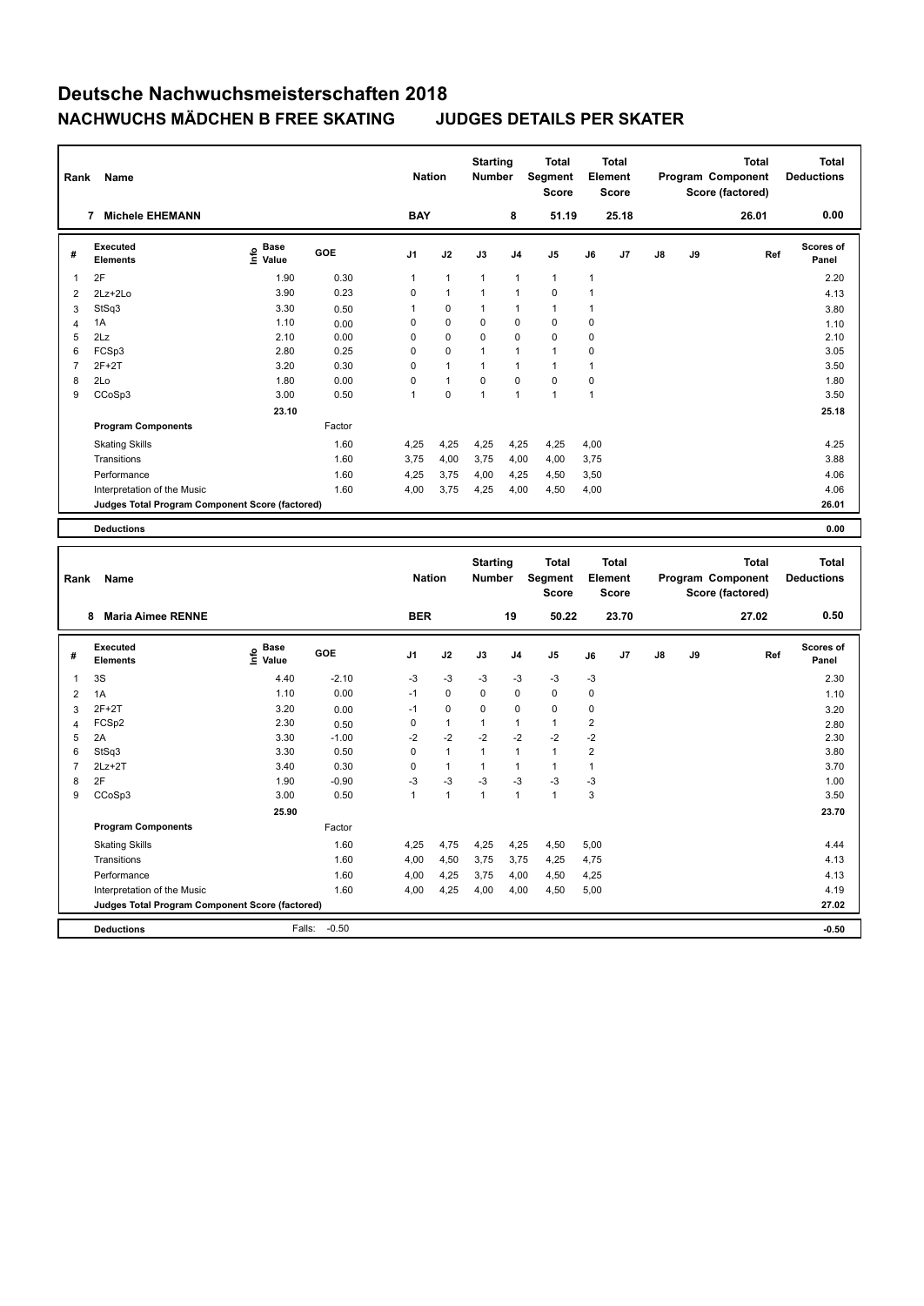| Rank             | Name                                            |                                           |         | <b>Nation</b>  |                | <b>Starting</b><br><b>Number</b> |                | <b>Total</b><br>Segment<br><b>Score</b> |                         | <b>Total</b><br>Element<br><b>Score</b> |    |    | <b>Total</b><br>Program Component<br>Score (factored) |     | <b>Total</b><br><b>Deductions</b> |
|------------------|-------------------------------------------------|-------------------------------------------|---------|----------------|----------------|----------------------------------|----------------|-----------------------------------------|-------------------------|-----------------------------------------|----|----|-------------------------------------------------------|-----|-----------------------------------|
|                  | 7 Michele EHEMANN                               |                                           |         | <b>BAY</b>     |                |                                  | 8              | 51.19                                   |                         | 25.18                                   |    |    | 26.01                                                 |     | 0.00                              |
| #                | <b>Executed</b><br><b>Elements</b>              | $\frac{6}{5}$ Base<br>$\frac{5}{5}$ Value | GOE     | J <sub>1</sub> | J2             | J3                               | J <sub>4</sub> | J <sub>5</sub>                          | J6                      | J7                                      | J8 | J9 |                                                       | Ref | <b>Scores of</b><br>Panel         |
| $\mathbf{1}$     | 2F                                              | 1.90                                      | 0.30    | 1              | $\mathbf{1}$   | 1                                | $\mathbf{1}$   | $\mathbf{1}$                            | 1                       |                                         |    |    |                                                       |     | 2.20                              |
| $\overline{2}$   | 2Lz+2Lo                                         | 3.90                                      | 0.23    | $\mathsf 0$    | 1              | 1                                | $\overline{1}$ | $\pmb{0}$                               | $\mathbf{1}$            |                                         |    |    |                                                       |     | 4.13                              |
| 3                | StSq3                                           | 3.30                                      | 0.50    | $\mathbf{1}$   | 0              | 1                                | $\overline{1}$ | $\mathbf{1}$                            | $\mathbf{1}$            |                                         |    |    |                                                       |     | 3.80                              |
| $\overline{4}$   | 1A                                              | 1.10                                      | 0.00    | $\mathsf 0$    | 0              | 0                                | $\mathbf 0$    | $\pmb{0}$                               | 0                       |                                         |    |    |                                                       |     | 1.10                              |
| 5                | 2Lz                                             | 2.10                                      | 0.00    | $\mathsf 0$    | $\mathbf 0$    | 0                                | $\mathbf 0$    | $\mathbf 0$                             | $\mathbf 0$             |                                         |    |    |                                                       |     | 2.10                              |
| 6                | FCSp3                                           | 2.80                                      | 0.25    | $\mathbf 0$    | 0              | 1                                | $\overline{1}$ | $\mathbf{1}$                            | $\mathbf 0$             |                                         |    |    |                                                       |     | 3.05                              |
| $\overline{7}$   | $2F+2T$                                         | 3.20                                      | 0.30    | $\mathbf 0$    | 1              | 1                                | $\mathbf{1}$   | $\mathbf{1}$                            | 1                       |                                         |    |    |                                                       |     | 3.50                              |
| 8                | 2Lo                                             | 1.80                                      | 0.00    | $\mathbf 0$    | $\overline{1}$ | 0                                | $\mathbf 0$    | $\mathbf 0$                             | $\mathbf 0$             |                                         |    |    |                                                       |     | 1.80                              |
| 9                | CCoSp3                                          | 3.00                                      | 0.50    | 1              | 0              | 1                                | $\mathbf{1}$   | $\mathbf{1}$                            | $\mathbf{1}$            |                                         |    |    |                                                       |     | 3.50                              |
|                  |                                                 | 23.10                                     |         |                |                |                                  |                |                                         |                         |                                         |    |    |                                                       |     | 25.18                             |
|                  | <b>Program Components</b>                       |                                           | Factor  |                |                |                                  |                |                                         |                         |                                         |    |    |                                                       |     |                                   |
|                  | <b>Skating Skills</b>                           |                                           | 1.60    | 4,25           | 4,25           | 4,25                             | 4,25           | 4,25                                    | 4,00                    |                                         |    |    |                                                       |     | 4.25                              |
|                  | Transitions                                     |                                           | 1.60    | 3,75           | 4,00           | 3,75                             | 4,00           | 4,00                                    | 3,75                    |                                         |    |    |                                                       |     | 3.88                              |
|                  | Performance                                     |                                           | 1.60    | 4,25           | 3,75           | 4,00                             | 4,25           | 4,50                                    | 3,50                    |                                         |    |    |                                                       |     | 4.06                              |
|                  | Interpretation of the Music                     |                                           | 1.60    | 4,00           | 3,75           | 4,25                             | 4,00           | 4,50                                    | 4,00                    |                                         |    |    |                                                       |     | 4.06                              |
|                  | Judges Total Program Component Score (factored) |                                           |         |                |                |                                  |                |                                         |                         |                                         |    |    |                                                       |     | 26.01                             |
|                  |                                                 |                                           |         |                |                |                                  |                |                                         |                         |                                         |    |    |                                                       |     |                                   |
|                  | <b>Deductions</b>                               |                                           |         |                |                |                                  |                |                                         |                         |                                         |    |    |                                                       |     | 0.00                              |
|                  |                                                 |                                           |         |                |                |                                  |                |                                         |                         |                                         |    |    |                                                       |     |                                   |
|                  |                                                 |                                           |         |                |                |                                  |                |                                         |                         |                                         |    |    |                                                       |     |                                   |
|                  |                                                 |                                           |         |                |                | <b>Starting</b>                  |                | <b>Total</b>                            |                         | <b>Total</b>                            |    |    | <b>Total</b>                                          |     | <b>Total</b>                      |
| Rank             | Name                                            |                                           |         | <b>Nation</b>  |                | Number                           |                | Segment                                 |                         | Element                                 |    |    | Program Component                                     |     | <b>Deductions</b>                 |
|                  |                                                 |                                           |         |                |                |                                  |                | <b>Score</b>                            |                         | <b>Score</b>                            |    |    | Score (factored)                                      |     |                                   |
|                  | 8 Maria Aimee RENNE                             |                                           |         | <b>BER</b>     |                |                                  | 19             | 50.22                                   |                         | 23.70                                   |    |    | 27.02                                                 |     | 0.50                              |
| #                | Executed                                        |                                           | GOE     | J <sub>1</sub> | J2             | J3                               | J4             | J <sub>5</sub>                          | J6                      | J7                                      | J8 | J9 |                                                       | Ref | Scores of                         |
|                  | <b>Elements</b>                                 | e Base<br>E Value                         |         |                |                |                                  |                |                                         |                         |                                         |    |    |                                                       |     | Panel                             |
| $\mathbf{1}$     | 3S                                              | 4.40                                      | $-2.10$ | $-3$           | $-3$           | $-3$                             | $-3$           | $-3$                                    | -3                      |                                         |    |    |                                                       |     | 2.30                              |
| $\boldsymbol{2}$ | 1A                                              | 1.10                                      | 0.00    | $-1$           | 0              | 0                                | $\mathbf 0$    | $\pmb{0}$                               | $\mathbf 0$             |                                         |    |    |                                                       |     | 1.10                              |
| 3                | $2F+2T$                                         | 3.20                                      | 0.00    | $-1$           | $\pmb{0}$      | 0                                | $\mathbf 0$    | $\pmb{0}$                               | $\mathbf 0$             |                                         |    |    |                                                       |     | 3.20                              |
| $\overline{4}$   | FCSp2                                           | 2.30                                      | 0.50    | $\mathsf 0$    | $\mathbf{1}$   | 1                                | $\mathbf{1}$   | $\mathbf{1}$                            | $\overline{\mathbf{c}}$ |                                         |    |    |                                                       |     | 2.80                              |
| 5                | 2A                                              | 3.30                                      | $-1.00$ | $-2$           | $-2$           | $-2$                             | $-2$           | $-2$                                    | $-2$                    |                                         |    |    |                                                       |     | 2.30                              |
| 6                | StSq3                                           | 3.30                                      | 0.50    | $\mathsf 0$    | $\mathbf{1}$   | 1                                | $\mathbf{1}$   | $\mathbf{1}$                            | $\overline{2}$          |                                         |    |    |                                                       |     | 3.80                              |
| $\overline{7}$   | $2Lz+2T$                                        | 3.40                                      | 0.30    | $\mathsf 0$    | $\mathbf{1}$   | 1                                | $\mathbf{1}$   | $\mathbf{1}$                            | $\mathbf{1}$            |                                         |    |    |                                                       |     | 3.70                              |
| 8                | 2F                                              | 1.90                                      | $-0.90$ | -3             | $-3$           | $-3$                             | $-3$           | -3                                      | -3                      |                                         |    |    |                                                       |     | 1.00                              |
| 9                | CCoSp3                                          | 3.00                                      | 0.50    | $\mathbf{1}$   | $\mathbf{1}$   | $\mathbf{1}$                     | $\mathbf{1}$   | $\mathbf{1}$                            | 3                       |                                         |    |    |                                                       |     | 3.50                              |
|                  |                                                 | 25.90                                     |         |                |                |                                  |                |                                         |                         |                                         |    |    |                                                       |     | 23.70                             |
|                  | <b>Program Components</b>                       |                                           | Factor  |                |                |                                  |                |                                         |                         |                                         |    |    |                                                       |     |                                   |
|                  | <b>Skating Skills</b>                           |                                           | 1.60    | 4,25           | 4,75           | 4,25                             | 4,25           | 4,50                                    | 5,00                    |                                         |    |    |                                                       |     | 4.44                              |
|                  | Transitions                                     |                                           | 1.60    | 4,00           | 4,50           | 3,75                             | 3,75           | 4,25                                    | 4,75                    |                                         |    |    |                                                       |     | 4.13                              |
|                  | Performance                                     |                                           | 1.60    | 4,00           | 4,25           | 3,75                             | 4,00           | 4,50                                    | 4,25                    |                                         |    |    |                                                       |     | 4.13                              |
|                  | Interpretation of the Music                     |                                           | 1.60    | 4,00           | 4,25           | 4,00                             | 4,00           | 4,50                                    | 5,00                    |                                         |    |    |                                                       |     | 4.19                              |
|                  | Judges Total Program Component Score (factored) |                                           |         |                |                |                                  |                |                                         |                         |                                         |    |    |                                                       |     | 27.02                             |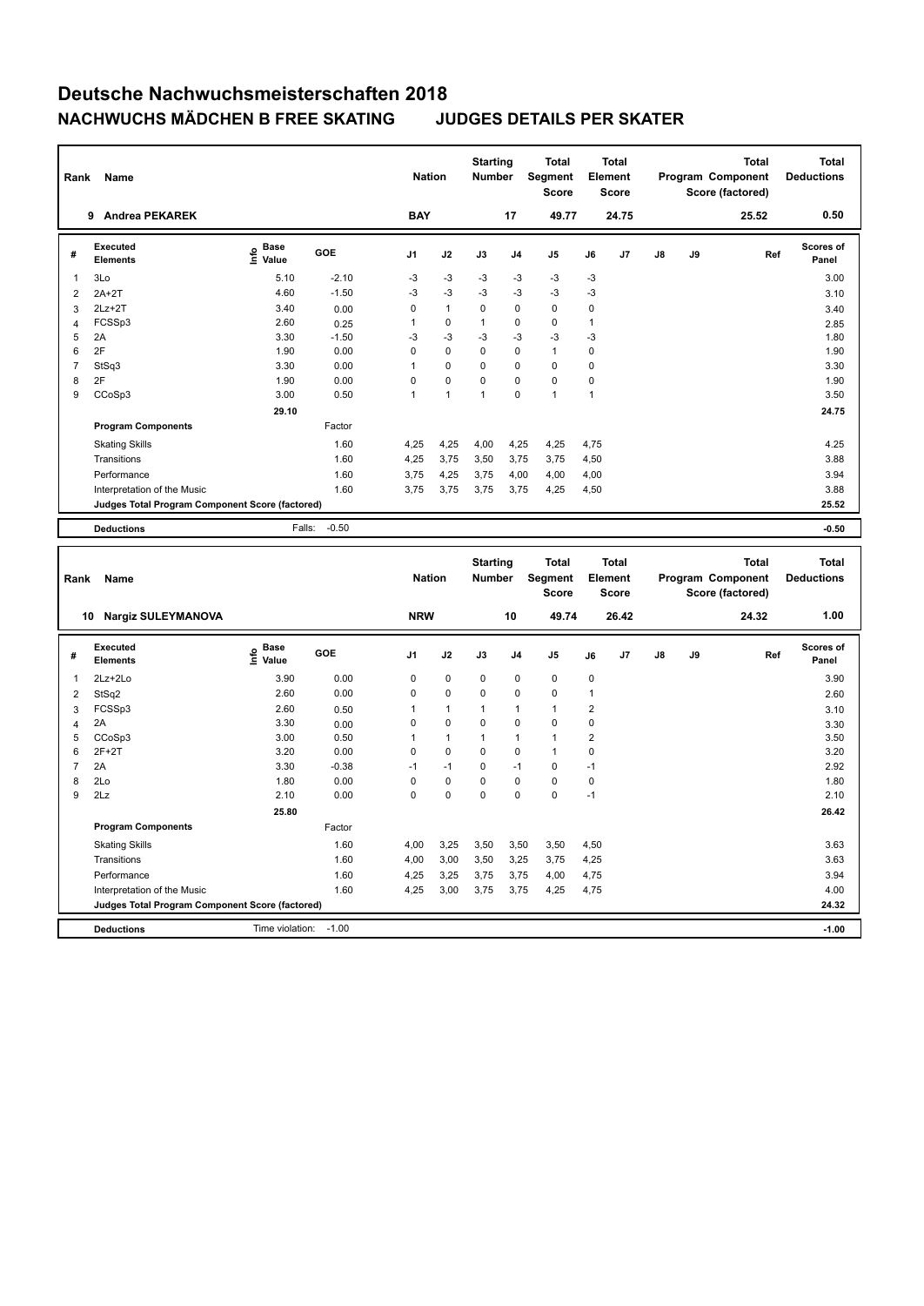|                     | Name                                                   |                                           |              | <b>Nation</b>    |              | <b>Starting</b><br>Number |                            | <b>Total</b><br>Segment<br><b>Score</b> |                               | <b>Total</b><br>Element<br><b>Score</b> |    |    | <b>Total</b><br>Program Component<br>Score (factored) | <b>Total</b><br><b>Deductions</b> |
|---------------------|--------------------------------------------------------|-------------------------------------------|--------------|------------------|--------------|---------------------------|----------------------------|-----------------------------------------|-------------------------------|-----------------------------------------|----|----|-------------------------------------------------------|-----------------------------------|
|                     | 9 Andrea PEKAREK                                       |                                           |              | <b>BAY</b>       |              |                           | 17                         | 49.77                                   |                               | 24.75                                   |    |    | 25.52                                                 | 0.50                              |
| #                   | <b>Executed</b><br><b>Elements</b>                     | $\frac{e}{E}$ Base<br>$\frac{e}{E}$ Value | GOE          | J <sub>1</sub>   | J2           | J3                        | J4                         | J <sub>5</sub>                          | J6                            | J7                                      | J8 | J9 | Ref                                                   | <b>Scores of</b><br>Panel         |
| 1                   | 3Lo                                                    | 5.10                                      | $-2.10$      | $-3$             | $-3$         | $-3$                      | $-3$                       | -3                                      | -3                            |                                         |    |    |                                                       | 3.00                              |
| $\overline{2}$      | $2A+2T$                                                | 4.60                                      | $-1.50$      | $-3$             | $-3$         | -3                        | $-3$                       | $-3$                                    | -3                            |                                         |    |    |                                                       | 3.10                              |
| 3                   | $2Lz + 2T$                                             | 3.40                                      | 0.00         | $\mathsf 0$      | $\mathbf{1}$ | 0                         | $\mathbf 0$                | $\pmb{0}$                               | $\mathbf 0$                   |                                         |    |    |                                                       | 3.40                              |
| $\overline{4}$      | FCSSp3                                                 | 2.60                                      | 0.25         | $\mathbf{1}$     | 0            | 1                         | $\mathbf 0$                | $\pmb{0}$                               | $\mathbf{1}$                  |                                         |    |    |                                                       | 2.85                              |
| 5                   | 2A                                                     | 3.30                                      | $-1.50$      | $-3$             | $-3$         | $-3$                      | $-3$                       | $-3$                                    | -3                            |                                         |    |    |                                                       | 1.80                              |
| 6                   | 2F                                                     | 1.90                                      | 0.00         | $\mathsf 0$      | $\pmb{0}$    | 0                         | $\mathbf 0$                | $\mathbf{1}$                            | $\mathbf 0$                   |                                         |    |    |                                                       | 1.90                              |
| $\overline{7}$      | StSq3                                                  | 3.30                                      | 0.00         | $\mathbf{1}$     | 0            | 0                         | $\mathbf 0$                | 0                                       | 0                             |                                         |    |    |                                                       | 3.30                              |
| 8                   | 2F                                                     | 1.90                                      | 0.00         | $\mathsf 0$      | 0            | 0                         | $\mathbf 0$                | $\pmb{0}$                               | $\mathbf 0$                   |                                         |    |    |                                                       | 1.90                              |
| 9                   | CCoSp3                                                 | 3.00                                      | 0.50         | 1                | $\mathbf{1}$ | 1                         | $\mathbf 0$                | $\mathbf{1}$                            | $\mathbf{1}$                  |                                         |    |    |                                                       | 3.50                              |
|                     |                                                        | 29.10                                     |              |                  |              |                           |                            |                                         |                               |                                         |    |    |                                                       | 24.75                             |
|                     | <b>Program Components</b>                              |                                           | Factor       |                  |              |                           |                            |                                         |                               |                                         |    |    |                                                       |                                   |
|                     | <b>Skating Skills</b>                                  |                                           | 1.60         | 4,25             | 4,25         | 4,00                      | 4,25                       | 4,25                                    | 4,75                          |                                         |    |    |                                                       | 4.25                              |
|                     | Transitions                                            |                                           | 1.60         | 4,25             | 3,75         | 3,50                      | 3,75                       | 3,75                                    | 4,50                          |                                         |    |    |                                                       | 3.88                              |
|                     | Performance                                            |                                           | 1.60         | 3,75             | 4,25         | 3,75                      | 4,00                       | 4,00                                    | 4,00                          |                                         |    |    |                                                       | 3.94                              |
|                     | Interpretation of the Music                            |                                           | 1.60         | 3,75             | 3,75         | 3,75                      | 3,75                       | 4,25                                    | 4,50                          |                                         |    |    |                                                       | 3.88                              |
|                     | <b>Judges Total Program Component Score (factored)</b> |                                           |              |                  |              |                           |                            |                                         |                               |                                         |    |    |                                                       | 25.52                             |
|                     | <b>Deductions</b>                                      | Falls:                                    | $-0.50$      |                  |              |                           |                            |                                         |                               |                                         |    |    |                                                       | $-0.50$                           |
|                     |                                                        |                                           |              |                  |              |                           |                            |                                         |                               |                                         |    |    |                                                       |                                   |
| Rank                | Name                                                   |                                           |              |                  |              | <b>Starting</b>           |                            | <b>Total</b>                            |                               | <b>Total</b>                            |    |    | <b>Total</b>                                          | <b>Total</b>                      |
|                     |                                                        |                                           |              | <b>Nation</b>    |              | <b>Number</b>             |                            | Segment<br><b>Score</b>                 |                               | Element<br><b>Score</b>                 |    |    | Program Component<br>Score (factored)                 | <b>Deductions</b>                 |
|                     | 10 Nargiz SULEYMANOVA                                  |                                           |              | <b>NRW</b>       |              |                           | 10                         | 49.74                                   |                               | 26.42                                   |    |    | 24.32                                                 | 1.00                              |
| #                   | <b>Executed</b><br><b>Elements</b>                     | e Base<br>E Value                         | GOE          | J <sub>1</sub>   | J2           | J3                        | J <sub>4</sub>             | J <sub>5</sub>                          | J6                            | J7                                      | J8 | J9 | Ref                                                   | <b>Scores of</b><br>Panel         |
|                     |                                                        |                                           |              |                  |              |                           |                            |                                         |                               |                                         |    |    |                                                       |                                   |
| $\mathbf{1}$        | 2Lz+2Lo                                                | 3.90<br>2.60                              | 0.00<br>0.00 | 0<br>$\mathsf 0$ | 0<br>0       | 0<br>0                    | $\mathbf 0$<br>$\mathbf 0$ | $\pmb{0}$<br>$\pmb{0}$                  | 0<br>$\mathbf{1}$             |                                         |    |    |                                                       | 3.90                              |
| 2                   | StSq2                                                  |                                           |              | 1                | 1            | 1                         | $\mathbf{1}$               | $\mathbf{1}$                            |                               |                                         |    |    |                                                       | 2.60                              |
| 3<br>$\overline{4}$ | FCSSp3<br>2A                                           | 2.60<br>3.30                              | 0.50         | $\mathsf 0$      | 0            | 0                         | $\mathbf 0$                | $\pmb{0}$                               | $\overline{2}$<br>$\mathbf 0$ |                                         |    |    |                                                       | 3.10                              |
| 5                   | CCoSp3                                                 | 3.00                                      | 0.00<br>0.50 | 1                | 1            | 1                         | $\mathbf{1}$               | $\mathbf{1}$                            | $\overline{2}$                |                                         |    |    |                                                       | 3.30<br>3.50                      |
| 6                   | $2F+2T$                                                | 3.20                                      | 0.00         | $\mathbf 0$      | 0            | 0                         | $\mathbf 0$                | $\mathbf{1}$                            | $\mathbf 0$                   |                                         |    |    |                                                       | 3.20                              |
| $\overline{7}$      | 2A                                                     | 3.30                                      | $-0.38$      | $-1$             | $-1$         | 0                         | $-1$                       | $\mathbf 0$                             | $-1$                          |                                         |    |    |                                                       | 2.92                              |
| 8                   | 2Lo                                                    | 1.80                                      | 0.00         | $\mathsf 0$      | 0            | 0                         | $\mathbf 0$                | $\pmb{0}$                               | $\mathbf 0$                   |                                         |    |    |                                                       | 1.80                              |
| 9                   | 2Lz                                                    | 2.10                                      | 0.00         | $\mathsf 0$      | 0            | 0                         | $\mathbf 0$                | $\pmb{0}$                               | $-1$                          |                                         |    |    |                                                       | 2.10                              |
|                     |                                                        | 25.80                                     |              |                  |              |                           |                            |                                         |                               |                                         |    |    |                                                       | 26.42                             |
|                     | <b>Program Components</b>                              |                                           | Factor       |                  |              |                           |                            |                                         |                               |                                         |    |    |                                                       |                                   |
|                     | <b>Skating Skills</b>                                  |                                           | 1.60         | 4,00             | 3,25         | 3,50                      | 3,50                       | 3,50                                    | 4,50                          |                                         |    |    |                                                       | 3.63                              |
|                     | Transitions                                            |                                           | 1.60         | 4,00             | 3,00         | 3,50                      | 3,25                       | 3,75                                    | 4,25                          |                                         |    |    |                                                       | 3.63                              |
|                     | Performance                                            |                                           | 1.60         | 4,25             | 3,25         | 3,75                      | 3,75                       | 4,00                                    | 4,75                          |                                         |    |    |                                                       | 3.94                              |
|                     | Interpretation of the Music                            |                                           | 1.60         | 4,25             | 3,00         | 3,75                      | 3,75                       | 4,25                                    | 4,75                          |                                         |    |    |                                                       | 4.00                              |
|                     | Judges Total Program Component Score (factored)        |                                           |              |                  |              |                           |                            |                                         |                               |                                         |    |    |                                                       | 24.32                             |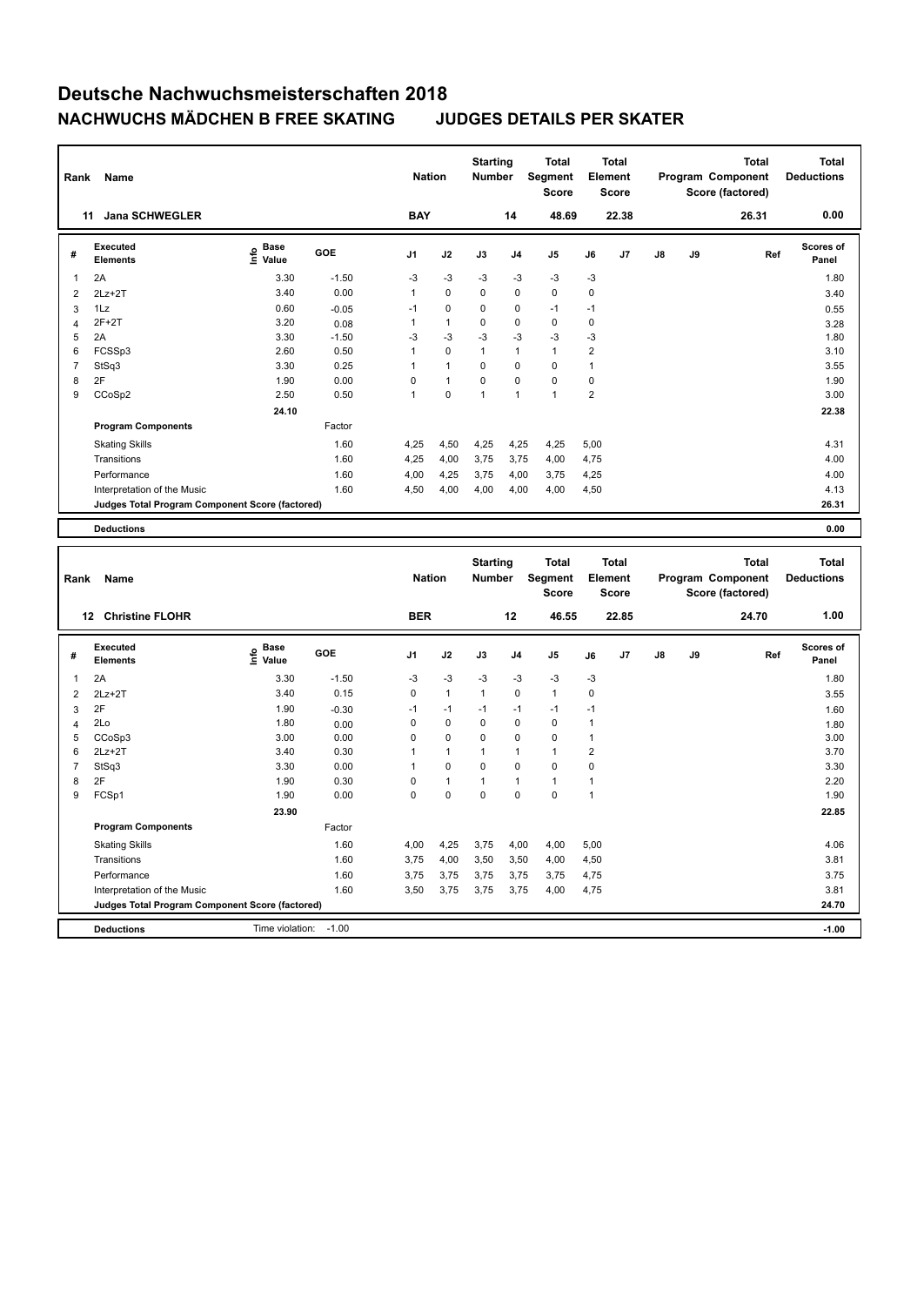| Rank                           | Name                                            |                                           |              | <b>Nation</b>  |              | <b>Starting</b><br><b>Number</b> |                | <b>Total</b><br><b>Segment</b><br>Score |                | <b>Total</b><br>Element<br>Score        |    |    | <b>Total</b><br>Program Component<br>Score (factored) |     | <b>Total</b><br><b>Deductions</b> |
|--------------------------------|-------------------------------------------------|-------------------------------------------|--------------|----------------|--------------|----------------------------------|----------------|-----------------------------------------|----------------|-----------------------------------------|----|----|-------------------------------------------------------|-----|-----------------------------------|
|                                | <b>Jana SCHWEGLER</b><br>11                     |                                           |              | <b>BAY</b>     |              |                                  | 14             | 48.69                                   |                | 22.38                                   |    |    | 26.31                                                 |     | 0.00                              |
| #                              | <b>Executed</b><br><b>Elements</b>              | $\frac{e}{E}$ Base<br>$\frac{e}{E}$ Value | GOE          | J1             | J2           | J3                               | J4             | J5                                      | J6             | J7                                      | J8 | J9 |                                                       | Ref | <b>Scores of</b><br>Panel         |
| 1                              | 2A                                              | 3.30                                      | $-1.50$      | -3             | $-3$         | $-3$                             | $-3$           | $-3$                                    | $-3$           |                                         |    |    |                                                       |     | 1.80                              |
| $\overline{2}$                 | $2Lz+2T$                                        | 3.40                                      | 0.00         | $\mathbf{1}$   | $\mathbf 0$  | $\mathbf 0$                      | 0              | $\mathbf 0$                             | $\mathbf 0$    |                                         |    |    |                                                       |     | 3.40                              |
| 3                              | 1Lz                                             | 0.60                                      | $-0.05$      | $-1$           | $\Omega$     | $\Omega$                         | 0              | $-1$                                    | $-1$           |                                         |    |    |                                                       |     | 0.55                              |
| $\overline{4}$                 | $2F+2T$                                         | 3.20                                      | 0.08         | $\mathbf{1}$   | $\mathbf{1}$ | 0                                | 0              | $\pmb{0}$                               | $\pmb{0}$      |                                         |    |    |                                                       |     | 3.28                              |
| 5                              | 2A                                              | 3.30                                      | $-1.50$      | $-3$           | $-3$         | $-3$                             | $-3$           | $-3$                                    | $-3$           |                                         |    |    |                                                       |     | 1.80                              |
| 6                              | FCSSp3                                          | 2.60                                      | 0.50         | $\mathbf{1}$   | $\Omega$     | $\mathbf{1}$                     | $\mathbf{1}$   | $\mathbf{1}$                            | $\mathbf 2$    |                                         |    |    |                                                       |     | 3.10                              |
| $\overline{7}$                 | StSq3                                           | 3.30                                      | 0.25         | $\overline{1}$ | 1            | 0                                | 0              | $\mathbf 0$                             | $\mathbf{1}$   |                                         |    |    |                                                       |     | 3.55                              |
| 8                              | 2F                                              | 1.90                                      | 0.00         | $\pmb{0}$      | 1            | 0                                | 0              | $\pmb{0}$                               | $\pmb{0}$      |                                         |    |    |                                                       |     | 1.90                              |
| 9                              | CCoSp2                                          | 2.50                                      | 0.50         | $\mathbf{1}$   | $\mathbf 0$  | $\mathbf{1}$                     | $\mathbf{1}$   | $\mathbf{1}$                            | $\overline{2}$ |                                         |    |    |                                                       |     | 3.00                              |
|                                |                                                 | 24.10                                     |              |                |              |                                  |                |                                         |                |                                         |    |    |                                                       |     | 22.38                             |
|                                | <b>Program Components</b>                       |                                           | Factor       |                |              |                                  |                |                                         |                |                                         |    |    |                                                       |     |                                   |
|                                | <b>Skating Skills</b>                           |                                           | 1.60         | 4,25           | 4,50         | 4,25                             | 4,25           | 4,25                                    | 5,00           |                                         |    |    |                                                       |     | 4.31                              |
|                                | Transitions                                     |                                           | 1.60         | 4,25           | 4,00         | 3,75                             | 3,75           | 4,00                                    | 4,75           |                                         |    |    |                                                       |     | 4.00                              |
|                                | Performance                                     |                                           | 1.60         | 4,00           | 4,25         | 3,75                             | 4,00           | 3,75                                    | 4,25           |                                         |    |    |                                                       |     | 4.00                              |
|                                | Interpretation of the Music                     |                                           | 1.60         | 4,50           | 4,00         | 4,00                             | 4,00           | 4,00                                    | 4,50           |                                         |    |    |                                                       |     | 4.13                              |
|                                | Judges Total Program Component Score (factored) |                                           |              |                |              |                                  |                |                                         |                |                                         |    |    |                                                       |     | 26.31                             |
|                                | <b>Deductions</b>                               |                                           |              |                |              |                                  |                |                                         |                |                                         |    |    |                                                       |     | 0.00                              |
|                                |                                                 |                                           |              |                |              |                                  |                |                                         |                |                                         |    |    |                                                       |     |                                   |
|                                |                                                 |                                           |              |                |              |                                  |                |                                         |                |                                         |    |    |                                                       |     |                                   |
| Rank                           | Name                                            |                                           |              | <b>Nation</b>  |              | <b>Starting</b><br>Number        |                | <b>Total</b><br>Segment<br><b>Score</b> |                | <b>Total</b><br>Element<br><b>Score</b> |    |    | <b>Total</b><br>Program Component<br>Score (factored) |     | <b>Total</b><br><b>Deductions</b> |
|                                | 12 Christine FLOHR                              |                                           |              | <b>BER</b>     |              |                                  | 12             | 46.55                                   |                | 22.85                                   |    |    | 24.70                                                 |     | 1.00                              |
| #                              | <b>Executed</b><br><b>Elements</b>              | e Base<br>E Value                         | GOE          | J1             | J2           | J3                               | J <sub>4</sub> | J5                                      | J6             | J7                                      | J8 | J9 |                                                       | Ref | <b>Scores of</b><br>Panel         |
| 1                              | 2A                                              | 3.30                                      | $-1.50$      | -3             | $-3$         | $-3$                             | -3             | -3                                      | $-3$           |                                         |    |    |                                                       |     | 1.80                              |
|                                |                                                 | 3.40                                      | 0.15         | $\pmb{0}$      | $\mathbf{1}$ | $\mathbf{1}$                     | 0              | $\mathbf{1}$                            | 0              |                                         |    |    |                                                       |     |                                   |
| $\overline{2}$                 | $2Lz + 2T$<br>2F                                |                                           |              | $-1$           | $-1$         | $-1$                             | $-1$           | $-1$                                    | $-1$           |                                         |    |    |                                                       |     | 3.55                              |
| $\mathbf{3}$<br>$\overline{4}$ | 2Lo                                             | 1.90<br>1.80                              | $-0.30$      | $\mathsf 0$    | 0            | 0                                | $\mathsf 0$    | $\pmb{0}$                               | $\mathbf{1}$   |                                         |    |    |                                                       |     | 1.60                              |
| 5                              | CCoSp3                                          | 3.00                                      | 0.00<br>0.00 | $\mathbf 0$    | 0            | 0                                | 0              | $\mathbf 0$                             | $\mathbf{1}$   |                                         |    |    |                                                       |     | 1.80<br>3.00                      |
| 6                              | $2Lz+2T$                                        | 3.40                                      | 0.30         | 1              | $\mathbf{1}$ | $\mathbf{1}$                     | 1              | $\ddot{\phantom{0}}$                    | $\overline{2}$ |                                         |    |    |                                                       |     | 3.70                              |
| $\overline{7}$                 | StSq3                                           | 3.30                                      | 0.00         | 1              | 0            | 0                                | 0              | $\mathbf 0$                             | $\mathbf 0$    |                                         |    |    |                                                       |     | 3.30                              |
| 8                              | 2F                                              | 1.90                                      | 0.30         | $\mathsf 0$    | $\mathbf{1}$ | $\mathbf{1}$                     | $\mathbf{1}$   | $\overline{1}$                          | $\mathbf{1}$   |                                         |    |    |                                                       |     | 2.20                              |
| 9                              | FCSp1                                           | 1.90                                      | 0.00         | $\Omega$       | $\pmb{0}$    | $\mathbf 0$                      | $\Omega$       | $\pmb{0}$                               | $\mathbf{1}$   |                                         |    |    |                                                       |     | 1.90                              |
|                                |                                                 | 23.90                                     |              |                |              |                                  |                |                                         |                |                                         |    |    |                                                       |     | 22.85                             |
|                                | <b>Program Components</b>                       |                                           | Factor       |                |              |                                  |                |                                         |                |                                         |    |    |                                                       |     |                                   |
|                                | <b>Skating Skills</b>                           |                                           | 1.60         | 4,00           | 4,25         | 3,75                             | 4,00           | 4,00                                    | 5,00           |                                         |    |    |                                                       |     | 4.06                              |
|                                | Transitions                                     |                                           | 1.60         | 3,75           | 4,00         | 3,50                             | 3,50           | 4,00                                    | 4,50           |                                         |    |    |                                                       |     | 3.81                              |
|                                | Performance                                     |                                           | 1.60         | 3,75           | 3,75         | 3,75                             | 3,75           | 3,75                                    | 4,75           |                                         |    |    |                                                       |     | 3.75                              |
|                                | Interpretation of the Music                     |                                           | 1.60         | 3,50           | 3,75         | 3,75                             | 3,75           | 4,00                                    | 4,75           |                                         |    |    |                                                       |     | 3.81                              |
|                                | Judges Total Program Component Score (factored) |                                           |              |                |              |                                  |                |                                         |                |                                         |    |    |                                                       |     | 24.70                             |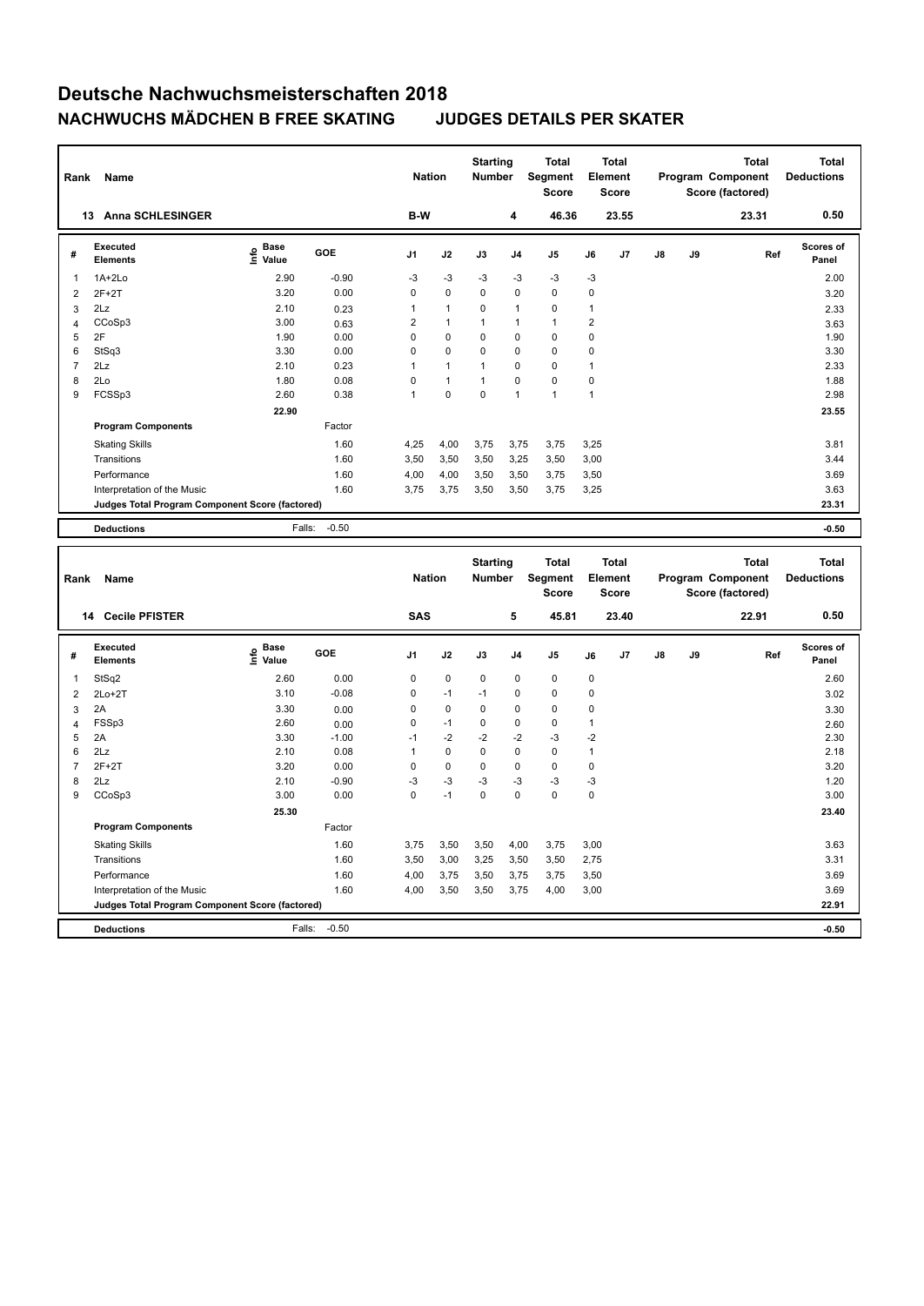| Rank                | Name                                            |                                           |                 | <b>Nation</b>       |              | <b>Starting</b><br><b>Number</b> |                     | <b>Total</b><br>Segment<br><b>Score</b> |                      | <b>Total</b><br>Element<br><b>Score</b> |    |    | <b>Total</b><br>Program Component<br>Score (factored) | <b>Total</b><br><b>Deductions</b> |
|---------------------|-------------------------------------------------|-------------------------------------------|-----------------|---------------------|--------------|----------------------------------|---------------------|-----------------------------------------|----------------------|-----------------------------------------|----|----|-------------------------------------------------------|-----------------------------------|
|                     | 13 Anna SCHLESINGER                             |                                           |                 | B-W                 |              |                                  | 4                   | 46.36                                   |                      | 23.55                                   |    |    | 23.31                                                 | 0.50                              |
| #                   | <b>Executed</b><br><b>Elements</b>              | $\frac{e}{E}$ Base<br>$\frac{e}{E}$ Value | GOE             | J <sub>1</sub>      | J2           | J3                               | J4                  | J <sub>5</sub>                          | J6                   | J7                                      | J8 | J9 | Ref                                                   | Scores of<br>Panel                |
| $\mathbf{1}$        | $1A+2Lo$                                        | 2.90                                      | $-0.90$         | -3                  | $-3$         | $-3$                             | $-3$                | $-3$                                    | $-3$                 |                                         |    |    |                                                       | 2.00                              |
| $\overline{2}$      | $2F+2T$                                         | 3.20                                      | 0.00            | $\mathsf 0$         | 0            | 0                                | $\mathbf 0$         | $\mathbf 0$                             | $\mathbf 0$          |                                         |    |    |                                                       | 3.20                              |
| 3                   | 2Lz                                             | 2.10                                      | 0.23            | 1                   | $\mathbf{1}$ | 0                                | 1                   | $\pmb{0}$                               | $\mathbf{1}$         |                                         |    |    |                                                       | 2.33                              |
| $\overline{4}$      | CCoSp3                                          | 3.00                                      | 0.63            | $\overline{2}$      | $\mathbf{1}$ | 1                                | 1                   | $\mathbf{1}$                            | $\overline{2}$       |                                         |    |    |                                                       | 3.63                              |
| 5                   | 2F                                              | 1.90                                      | 0.00            | 0                   | 0            | 0                                | 0                   | $\mathbf 0$                             | $\mathbf 0$          |                                         |    |    |                                                       | 1.90                              |
| 6                   | StSq3                                           | 3.30                                      | 0.00            | $\mathbf 0$         | 0            | $\mathbf 0$                      | 0                   | $\mathbf 0$                             | $\mathbf 0$          |                                         |    |    |                                                       | 3.30                              |
| $\overline{7}$      | 2Lz                                             | 2.10                                      | 0.23            | $\mathbf{1}$        | $\mathbf{1}$ | $\mathbf{1}$                     | $\Omega$            | $\mathbf 0$                             | $\mathbf{1}$         |                                         |    |    |                                                       | 2.33                              |
| 8                   | 2Lo                                             | 1.80                                      | 0.08            | $\mathsf 0$         | $\mathbf{1}$ | 1                                | 0                   | $\pmb{0}$                               | $\mathbf 0$          |                                         |    |    |                                                       | 1.88                              |
| 9                   | FCSSp3                                          | 2.60                                      | 0.38            | 1                   | $\Omega$     | 0                                | 1                   | $\mathbf{1}$                            | $\mathbf{1}$         |                                         |    |    |                                                       | 2.98                              |
|                     |                                                 | 22.90                                     |                 |                     |              |                                  |                     |                                         |                      |                                         |    |    |                                                       | 23.55                             |
|                     | <b>Program Components</b>                       |                                           | Factor          |                     |              |                                  |                     |                                         |                      |                                         |    |    |                                                       |                                   |
|                     | <b>Skating Skills</b>                           |                                           | 1.60            | 4,25                | 4,00         | 3,75                             | 3,75                | 3,75                                    | 3,25                 |                                         |    |    |                                                       | 3.81                              |
|                     | Transitions                                     |                                           | 1.60            | 3,50                | 3,50         | 3,50                             | 3,25                | 3,50                                    | 3,00                 |                                         |    |    |                                                       | 3.44                              |
|                     | Performance                                     |                                           | 1.60            | 4,00                | 4,00         | 3,50                             | 3,50                | 3,75                                    | 3,50                 |                                         |    |    |                                                       | 3.69                              |
|                     | Interpretation of the Music                     |                                           | 1.60            | 3,75                | 3,75         | 3,50                             | 3,50                | 3,75                                    | 3,25                 |                                         |    |    |                                                       | 3.63                              |
|                     | Judges Total Program Component Score (factored) |                                           |                 |                     |              |                                  |                     |                                         |                      |                                         |    |    |                                                       | 23.31                             |
|                     |                                                 |                                           |                 |                     |              |                                  |                     |                                         |                      |                                         |    |    |                                                       |                                   |
|                     | <b>Deductions</b>                               | Falls:                                    | $-0.50$         |                     |              |                                  |                     |                                         |                      |                                         |    |    |                                                       | $-0.50$                           |
|                     |                                                 |                                           |                 |                     |              |                                  |                     |                                         |                      |                                         |    |    |                                                       |                                   |
|                     |                                                 |                                           |                 |                     |              |                                  |                     |                                         |                      |                                         |    |    |                                                       |                                   |
|                     |                                                 |                                           |                 |                     |              | <b>Starting</b>                  |                     | <b>Total</b>                            |                      | <b>Total</b>                            |    |    | <b>Total</b>                                          | <b>Total</b>                      |
| Rank                | Name                                            |                                           |                 | <b>Nation</b>       |              | Number                           |                     | Segment                                 |                      | Element                                 |    |    | Program Component                                     | <b>Deductions</b>                 |
|                     |                                                 |                                           |                 |                     |              |                                  |                     | <b>Score</b>                            |                      | <b>Score</b>                            |    |    | Score (factored)                                      |                                   |
|                     | 14 Cecile PFISTER                               |                                           |                 | <b>SAS</b>          |              |                                  | 5                   | 45.81                                   |                      | 23.40                                   |    |    | 22.91                                                 | 0.50                              |
|                     |                                                 |                                           |                 |                     |              |                                  |                     |                                         |                      |                                         |    |    |                                                       |                                   |
| #                   | <b>Executed</b><br><b>Elements</b>              | e Base<br>E Value                         | GOE             | J <sub>1</sub>      | J2           | J3                               | J4                  | J <sub>5</sub>                          | J6                   | J7                                      | J8 | J9 | Ref                                                   | <b>Scores of</b><br>Panel         |
|                     |                                                 |                                           |                 |                     |              |                                  |                     |                                         |                      |                                         |    |    |                                                       |                                   |
| $\mathbf{1}$        | StSq2                                           | 2.60                                      | 0.00            | 0                   | 0            | 0                                | 0                   | $\mathbf 0$                             | 0                    |                                         |    |    |                                                       | 2.60                              |
| $\overline{2}$      | $2Lo+2T$                                        | 3.10                                      | $-0.08$         | $\mathsf 0$         | $-1$         | $-1$                             | 0                   | $\pmb{0}$                               | $\mathbf 0$          |                                         |    |    |                                                       | 3.02                              |
| 3                   | 2A                                              | 3.30                                      | 0.00            | $\mathsf 0$         | 0            | 0                                | 0                   | $\mathbf 0$                             | $\mathbf 0$          |                                         |    |    |                                                       | 3.30                              |
| $\overline{4}$<br>5 | FSSp3<br>2A                                     | 2.60<br>3.30                              | 0.00<br>$-1.00$ | $\mathbf 0$<br>$-1$ | $-1$<br>$-2$ | 0<br>$-2$                        | $\mathbf 0$<br>$-2$ | $\mathbf 0$<br>$-3$                     | $\mathbf{1}$<br>$-2$ |                                         |    |    |                                                       | 2.60<br>2.30                      |
| 6                   | 2Lz                                             | 2.10                                      | 0.08            | $\mathbf{1}$        | 0            | 0                                | 0                   | $\mathbf 0$                             | $\mathbf{1}$         |                                         |    |    |                                                       | 2.18                              |
| $\overline{7}$      | $2F+2T$                                         | 3.20                                      | 0.00            | $\mathbf 0$         | 0            | 0                                | $\mathbf 0$         | $\mathbf 0$                             | $\mathbf 0$          |                                         |    |    |                                                       | 3.20                              |
| 8                   | 2Lz                                             | 2.10                                      | $-0.90$         | -3                  | $-3$         | $-3$                             | $-3$                | $-3$                                    | $-3$                 |                                         |    |    |                                                       | 1.20                              |
| 9                   | CCoSp3                                          | 3.00                                      | 0.00            | $\mathbf 0$         | $-1$         | 0                                | $\mathbf 0$         | $\mathbf 0$                             | $\mathbf 0$          |                                         |    |    |                                                       | 3.00                              |
|                     |                                                 | 25.30                                     |                 |                     |              |                                  |                     |                                         |                      |                                         |    |    |                                                       | 23.40                             |
|                     | <b>Program Components</b>                       |                                           | Factor          |                     |              |                                  |                     |                                         |                      |                                         |    |    |                                                       |                                   |
|                     |                                                 |                                           |                 |                     |              |                                  |                     |                                         |                      |                                         |    |    |                                                       |                                   |
|                     | <b>Skating Skills</b>                           |                                           | 1.60            | 3,75                | 3,50         | 3,50                             | 4,00                | 3,75                                    | 3,00                 |                                         |    |    |                                                       | 3.63                              |
|                     | Transitions                                     |                                           | 1.60            | 3,50                | 3,00         | 3,25                             | 3,50                | 3,50                                    | 2,75                 |                                         |    |    |                                                       | 3.31                              |
|                     | Performance                                     |                                           | 1.60            | 4,00                | 3,75         | 3,50                             | 3,75                | 3,75                                    | 3,50                 |                                         |    |    |                                                       | 3.69                              |
|                     | Interpretation of the Music                     |                                           | 1.60            | 4,00                | 3,50         | 3,50                             | 3,75                | 4,00                                    | 3,00                 |                                         |    |    |                                                       | 3.69                              |
|                     | Judges Total Program Component Score (factored) |                                           | $-0.50$         |                     |              |                                  |                     |                                         |                      |                                         |    |    |                                                       | 22.91                             |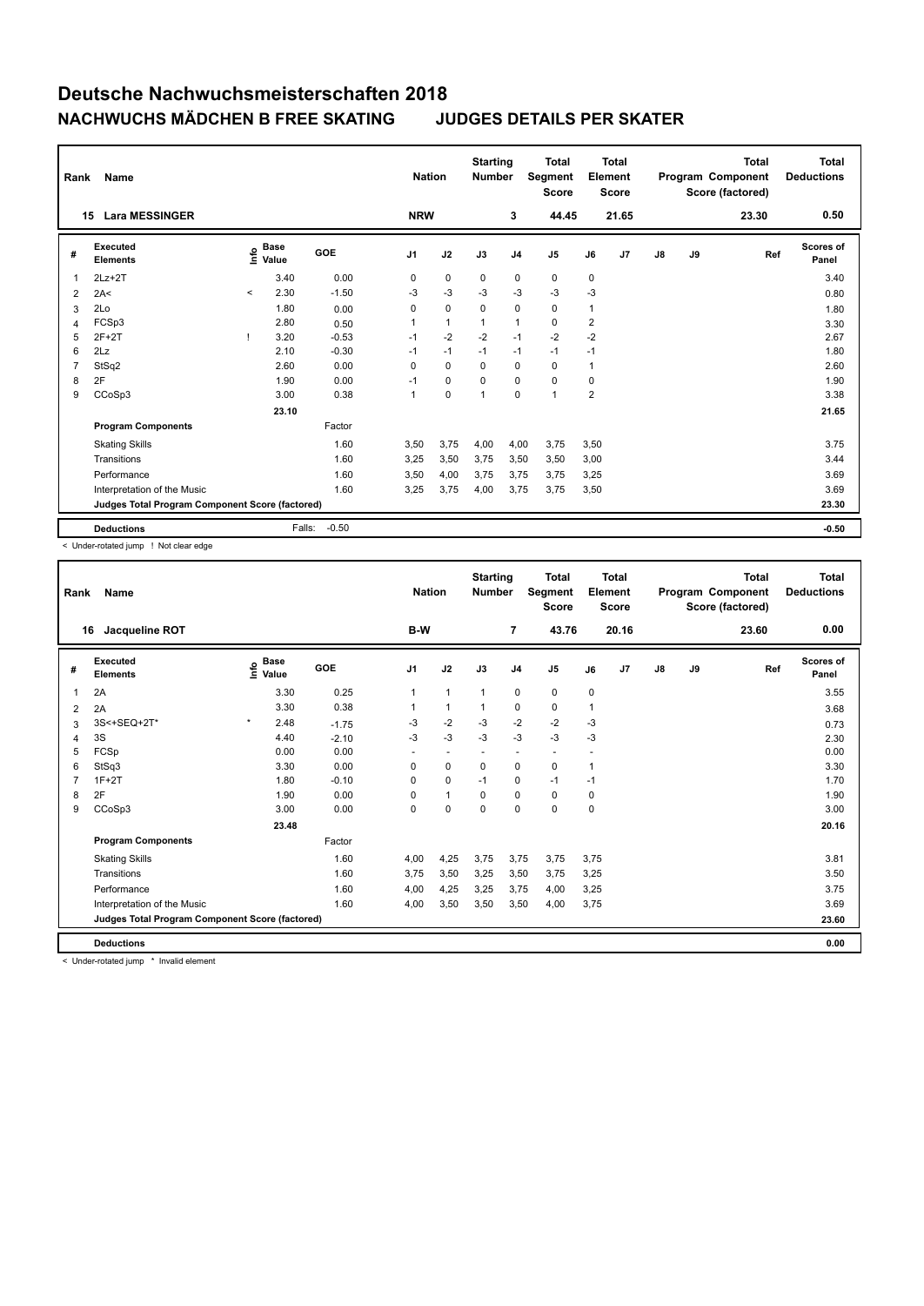| Rank           | Name                                            |              |                      |         | <b>Nation</b>  |                | <b>Starting</b><br><b>Number</b> |                | <b>Total</b><br>Segment<br><b>Score</b> |                | <b>Total</b><br>Element<br><b>Score</b> |               |    | <b>Total</b><br>Program Component<br>Score (factored) | <b>Total</b><br><b>Deductions</b> |
|----------------|-------------------------------------------------|--------------|----------------------|---------|----------------|----------------|----------------------------------|----------------|-----------------------------------------|----------------|-----------------------------------------|---------------|----|-------------------------------------------------------|-----------------------------------|
|                | <b>Lara MESSINGER</b><br>15                     |              |                      |         | <b>NRW</b>     |                |                                  | 3              | 44.45                                   |                | 21.65                                   |               |    | 23.30                                                 | 0.50                              |
| #              | <b>Executed</b><br><b>Elements</b>              | lnfo         | <b>Base</b><br>Value | GOE     | J <sub>1</sub> | J2             | J3                               | J <sub>4</sub> | J <sub>5</sub>                          | J6             | J7                                      | $\mathsf{J}8$ | J9 | Ref                                                   | <b>Scores of</b><br>Panel         |
| 1              | $2Lz+2T$                                        |              | 3.40                 | 0.00    | 0              | $\mathbf 0$    | 0                                | 0              | 0                                       | 0              |                                         |               |    |                                                       | 3.40                              |
| $\overline{2}$ | 2A<                                             | $\checkmark$ | 2.30                 | $-1.50$ | $-3$           | $-3$           | $-3$                             | $-3$           | $-3$                                    | $-3$           |                                         |               |    |                                                       | 0.80                              |
| 3              | 2Lo                                             |              | 1.80                 | 0.00    | $\Omega$       | $\mathbf 0$    | 0                                | $\mathbf 0$    | 0                                       | $\mathbf{1}$   |                                         |               |    |                                                       | 1.80                              |
| 4              | FCSp3                                           |              | 2.80                 | 0.50    |                | $\overline{1}$ |                                  | $\mathbf{1}$   | $\mathbf 0$                             | $\overline{2}$ |                                         |               |    |                                                       | 3.30                              |
| 5              | $2F+2T$                                         |              | 3.20                 | $-0.53$ | $-1$           | $-2$           | $-2$                             | $-1$           | $-2$                                    | $-2$           |                                         |               |    |                                                       | 2.67                              |
| 6              | 2Lz                                             |              | 2.10                 | $-0.30$ | $-1$           | $-1$           | $-1$                             | $-1$           | $-1$                                    | $-1$           |                                         |               |    |                                                       | 1.80                              |
| 7              | StSq2                                           |              | 2.60                 | 0.00    | $\Omega$       | $\Omega$       | $\Omega$                         | $\mathbf 0$    | $\Omega$                                | 1              |                                         |               |    |                                                       | 2.60                              |
| 8              | 2F                                              |              | 1.90                 | 0.00    | $-1$           | $\mathbf 0$    | $\Omega$                         | $\mathbf 0$    | 0                                       | 0              |                                         |               |    |                                                       | 1.90                              |
| 9              | CCoSp3                                          |              | 3.00                 | 0.38    | -1             | 0              | 1                                | $\mathbf 0$    | $\mathbf{1}$                            | $\overline{2}$ |                                         |               |    |                                                       | 3.38                              |
|                |                                                 |              | 23.10                |         |                |                |                                  |                |                                         |                |                                         |               |    |                                                       | 21.65                             |
|                | <b>Program Components</b>                       |              |                      | Factor  |                |                |                                  |                |                                         |                |                                         |               |    |                                                       |                                   |
|                | <b>Skating Skills</b>                           |              |                      | 1.60    | 3,50           | 3,75           | 4,00                             | 4,00           | 3,75                                    | 3,50           |                                         |               |    |                                                       | 3.75                              |
|                | Transitions                                     |              |                      | 1.60    | 3,25           | 3,50           | 3,75                             | 3,50           | 3,50                                    | 3,00           |                                         |               |    |                                                       | 3.44                              |
|                | Performance                                     |              |                      | 1.60    | 3,50           | 4,00           | 3,75                             | 3,75           | 3,75                                    | 3,25           |                                         |               |    |                                                       | 3.69                              |
|                | Interpretation of the Music                     |              |                      | 1.60    | 3,25           | 3,75           | 4,00                             | 3,75           | 3,75                                    | 3,50           |                                         |               |    |                                                       | 3.69                              |
|                | Judges Total Program Component Score (factored) |              |                      |         |                |                |                                  |                |                                         |                |                                         |               |    |                                                       | 23.30                             |
|                | <b>Deductions</b>                               |              | Falls:               | $-0.50$ |                |                |                                  |                |                                         |                |                                         |               |    |                                                       | $-0.50$                           |

< Under-rotated jump ! Not clear edge

| Rank | Name                                            |         |                      |            | <b>Nation</b>  |                          | <b>Starting</b><br><b>Number</b> |                | <b>Total</b><br>Segment<br><b>Score</b> | Element     | <b>Total</b><br><b>Score</b> |               |    | <b>Total</b><br>Program Component<br>Score (factored) | <b>Total</b><br><b>Deductions</b> |
|------|-------------------------------------------------|---------|----------------------|------------|----------------|--------------------------|----------------------------------|----------------|-----------------------------------------|-------------|------------------------------|---------------|----|-------------------------------------------------------|-----------------------------------|
| 16   | Jacqueline ROT                                  |         |                      |            | B-W            |                          |                                  | $\overline{7}$ | 43.76                                   |             | 20.16                        |               |    | 23.60                                                 | 0.00                              |
| #    | Executed<br><b>Elements</b>                     | lnfo    | <b>Base</b><br>Value | <b>GOE</b> | J <sub>1</sub> | J2                       | J3                               | J <sub>4</sub> | J5                                      | J6          | J7                           | $\mathsf{J}8$ | J9 | Ref                                                   | Scores of<br>Panel                |
| 1    | 2A                                              |         | 3.30                 | 0.25       | $\mathbf{1}$   | $\mathbf{1}$             | $\mathbf{1}$                     | $\mathbf 0$    | $\mathbf 0$                             | 0           |                              |               |    |                                                       | 3.55                              |
| 2    | 2A                                              |         | 3.30                 | 0.38       |                | $\mathbf{1}$             | 1                                | $\mathbf 0$    | $\mathbf 0$                             | 1           |                              |               |    |                                                       | 3.68                              |
| 3    | 3S<+SEQ+2T*                                     | $\star$ | 2.48                 | $-1.75$    | $-3$           | $-2$                     | $-3$                             | $-2$           | $-2$                                    | $-3$        |                              |               |    |                                                       | 0.73                              |
| 4    | 3S                                              |         | 4.40                 | $-2.10$    | $-3$           | $-3$                     | $-3$                             | $-3$           | $-3$                                    | $-3$        |                              |               |    |                                                       | 2.30                              |
| 5    | FCSp                                            |         | 0.00                 | 0.00       | ٠              | $\overline{\phantom{a}}$ | $\overline{a}$                   | ٠              | $\overline{\phantom{a}}$                |             |                              |               |    |                                                       | 0.00                              |
| 6    | StSq3                                           |         | 3.30                 | 0.00       | 0              | $\mathbf 0$              | 0                                | 0              | $\mathbf 0$                             | 1           |                              |               |    |                                                       | 3.30                              |
|      | $1F+2T$                                         |         | 1.80                 | $-0.10$    | 0              | $\mathbf 0$              | $-1$                             | 0              | $-1$                                    | $-1$        |                              |               |    |                                                       | 1.70                              |
| 8    | 2F                                              |         | 1.90                 | 0.00       | 0              | $\mathbf{1}$             | 0                                | 0              | 0                                       | $\mathbf 0$ |                              |               |    |                                                       | 1.90                              |
| 9    | CCoSp3                                          |         | 3.00                 | 0.00       | $\Omega$       | $\mathbf 0$              | $\Omega$                         | $\Omega$       | $\Omega$                                | $\Omega$    |                              |               |    |                                                       | 3.00                              |
|      |                                                 |         | 23.48                |            |                |                          |                                  |                |                                         |             |                              |               |    |                                                       | 20.16                             |
|      | <b>Program Components</b>                       |         |                      | Factor     |                |                          |                                  |                |                                         |             |                              |               |    |                                                       |                                   |
|      | <b>Skating Skills</b>                           |         |                      | 1.60       | 4,00           | 4,25                     | 3,75                             | 3,75           | 3,75                                    | 3.75        |                              |               |    |                                                       | 3.81                              |
|      | Transitions                                     |         |                      | 1.60       | 3,75           | 3,50                     | 3,25                             | 3,50           | 3,75                                    | 3,25        |                              |               |    |                                                       | 3.50                              |
|      | Performance                                     |         |                      | 1.60       | 4,00           | 4,25                     | 3,25                             | 3,75           | 4,00                                    | 3,25        |                              |               |    |                                                       | 3.75                              |
|      | Interpretation of the Music                     |         |                      | 1.60       | 4,00           | 3,50                     | 3,50                             | 3,50           | 4,00                                    | 3,75        |                              |               |    |                                                       | 3.69                              |
|      | Judges Total Program Component Score (factored) |         |                      |            |                |                          |                                  |                |                                         |             |                              |               |    |                                                       | 23.60                             |
|      | <b>Deductions</b>                               |         |                      |            |                |                          |                                  |                |                                         |             |                              |               |    |                                                       | 0.00                              |

< Under-rotated jump \* Invalid element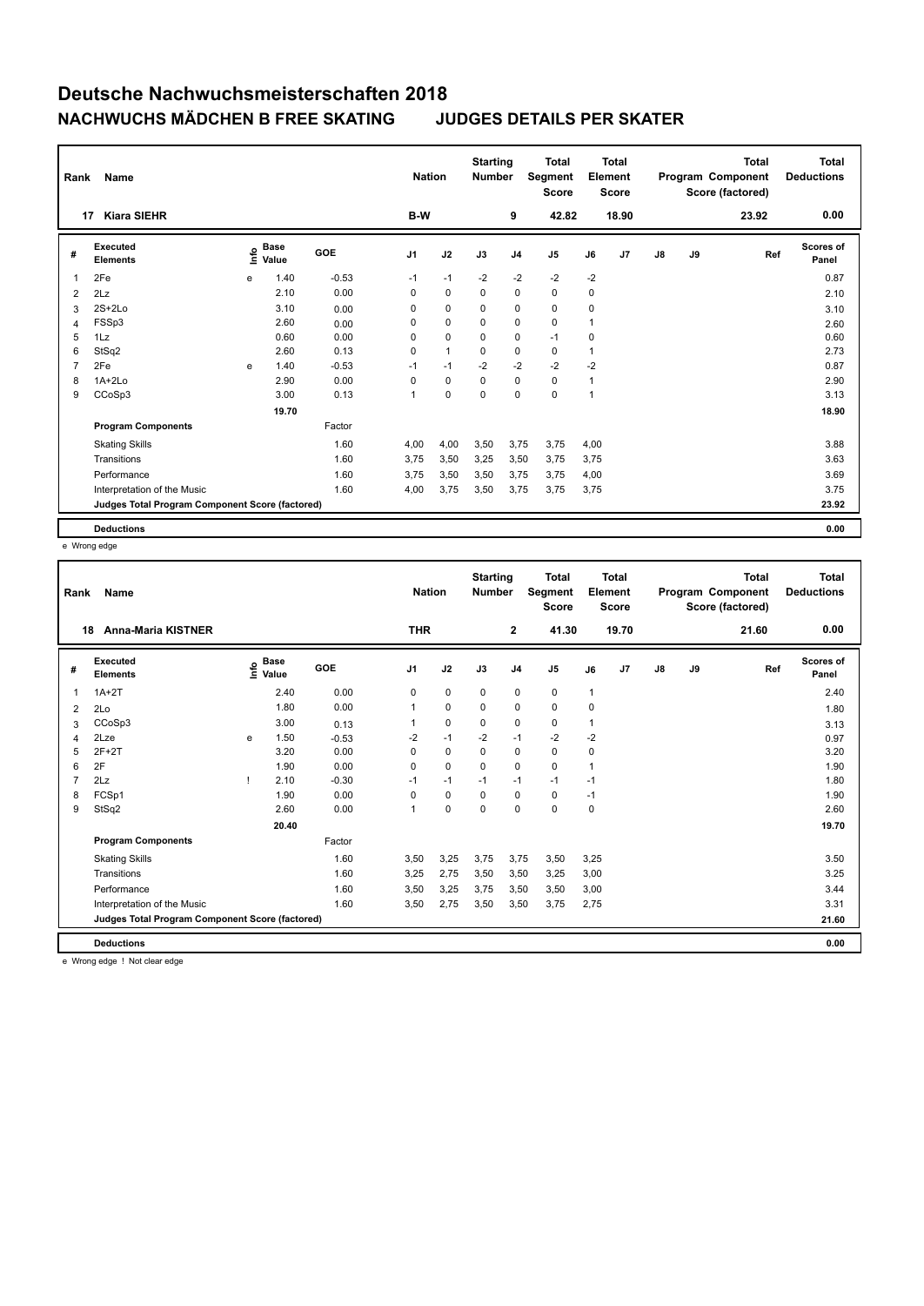| Rank | Name                                            |      |                      |         | <b>Nation</b>  |              | <b>Starting</b><br><b>Number</b> |                | <b>Total</b><br>Segment<br><b>Score</b> |      | <b>Total</b><br>Element<br><b>Score</b> |               |    | <b>Total</b><br>Program Component<br>Score (factored) | <b>Total</b><br><b>Deductions</b> |
|------|-------------------------------------------------|------|----------------------|---------|----------------|--------------|----------------------------------|----------------|-----------------------------------------|------|-----------------------------------------|---------------|----|-------------------------------------------------------|-----------------------------------|
|      | <b>Kiara SIEHR</b><br>17                        |      |                      |         | B-W            |              |                                  | 9              | 42.82                                   |      | 18.90                                   |               |    | 23.92                                                 | 0.00                              |
| #    | Executed<br><b>Elements</b>                     | ١nfo | <b>Base</b><br>Value | GOE     | J <sub>1</sub> | J2           | J3                               | J <sub>4</sub> | J5                                      | J6   | J7                                      | $\mathsf{J}8$ | J9 | Ref                                                   | <b>Scores of</b><br>Panel         |
| 1    | 2Fe                                             | e    | 1.40                 | $-0.53$ | $-1$           | $-1$         | $-2$                             | $-2$           | $-2$                                    | $-2$ |                                         |               |    |                                                       | 0.87                              |
| 2    | 2Lz                                             |      | 2.10                 | 0.00    | 0              | $\mathbf 0$  | 0                                | $\mathbf 0$    | $\mathbf 0$                             | 0    |                                         |               |    |                                                       | 2.10                              |
| 3    | $2S+2Lo$                                        |      | 3.10                 | 0.00    | 0              | 0            | 0                                | 0              | $\mathbf 0$                             | 0    |                                         |               |    |                                                       | 3.10                              |
| 4    | FSSp3                                           |      | 2.60                 | 0.00    | 0              | 0            | 0                                | $\pmb{0}$      | $\pmb{0}$                               | 1    |                                         |               |    |                                                       | 2.60                              |
| 5    | 1Lz                                             |      | 0.60                 | 0.00    | 0              | $\mathbf 0$  | 0                                | 0              | $-1$                                    | 0    |                                         |               |    |                                                       | 0.60                              |
| 6    | StSq2                                           |      | 2.60                 | 0.13    | 0              | $\mathbf{1}$ | 0                                | 0              | 0                                       | 1    |                                         |               |    |                                                       | 2.73                              |
| 7    | 2Fe                                             | e    | 1.40                 | $-0.53$ | $-1$           | $-1$         | $-2$                             | $-2$           | $-2$                                    | $-2$ |                                         |               |    |                                                       | 0.87                              |
| 8    | $1A+2Lo$                                        |      | 2.90                 | 0.00    | 0              | 0            | 0                                | $\mathbf 0$    | $\mathbf 0$                             | 1    |                                         |               |    |                                                       | 2.90                              |
| 9    | CCoSp3                                          |      | 3.00                 | 0.13    | 1              | $\mathbf 0$  | 0                                | $\mathbf 0$    | $\pmb{0}$                               | 1    |                                         |               |    |                                                       | 3.13                              |
|      |                                                 |      | 19.70                |         |                |              |                                  |                |                                         |      |                                         |               |    |                                                       | 18.90                             |
|      | <b>Program Components</b>                       |      |                      | Factor  |                |              |                                  |                |                                         |      |                                         |               |    |                                                       |                                   |
|      | <b>Skating Skills</b>                           |      |                      | 1.60    | 4,00           | 4,00         | 3,50                             | 3,75           | 3,75                                    | 4,00 |                                         |               |    |                                                       | 3.88                              |
|      | Transitions                                     |      |                      | 1.60    | 3,75           | 3,50         | 3,25                             | 3,50           | 3,75                                    | 3,75 |                                         |               |    |                                                       | 3.63                              |
|      | Performance                                     |      |                      | 1.60    | 3,75           | 3,50         | 3,50                             | 3,75           | 3,75                                    | 4,00 |                                         |               |    |                                                       | 3.69                              |
|      | Interpretation of the Music                     |      |                      | 1.60    | 4,00           | 3,75         | 3,50                             | 3,75           | 3,75                                    | 3,75 |                                         |               |    |                                                       | 3.75                              |
|      | Judges Total Program Component Score (factored) |      |                      |         |                |              |                                  |                |                                         |      |                                         |               |    |                                                       | 23.92                             |
|      | <b>Deductions</b>                               |      |                      |         |                |              |                                  |                |                                         |      |                                         |               |    |                                                       | 0.00                              |

e Wrong edge

| Rank | Name                                            |   |                                  |         | <b>Nation</b>  |             | <b>Starting</b><br><b>Number</b> |                | <b>Total</b><br>Segment<br><b>Score</b> | Element     | Total<br><b>Score</b> |               |    | <b>Total</b><br>Program Component<br>Score (factored) | <b>Total</b><br><b>Deductions</b> |
|------|-------------------------------------------------|---|----------------------------------|---------|----------------|-------------|----------------------------------|----------------|-----------------------------------------|-------------|-----------------------|---------------|----|-------------------------------------------------------|-----------------------------------|
| 18   | <b>Anna-Maria KISTNER</b>                       |   |                                  |         | <b>THR</b>     |             |                                  | $\overline{2}$ | 41.30                                   |             | 19.70                 |               |    | 21.60                                                 | 0.00                              |
| #    | <b>Executed</b><br><b>Elements</b>              |   | <b>Base</b><br>e Base<br>⊆ Value | GOE     | J <sub>1</sub> | J2          | J3                               | J <sub>4</sub> | J5                                      | J6          | J7                    | $\mathsf{J}8$ | J9 | Ref                                                   | Scores of<br>Panel                |
| 1    | $1A+2T$                                         |   | 2.40                             | 0.00    | 0              | $\mathbf 0$ | 0                                | $\mathbf 0$    | $\pmb{0}$                               | 1           |                       |               |    |                                                       | 2.40                              |
| 2    | 2Lo                                             |   | 1.80                             | 0.00    | 1              | $\mathbf 0$ | $\Omega$                         | $\mathbf 0$    | $\mathbf 0$                             | $\mathbf 0$ |                       |               |    |                                                       | 1.80                              |
| 3    | CCoSp3                                          |   | 3.00                             | 0.13    |                | $\mathbf 0$ | 0                                | 0              | $\mathbf 0$                             | 1           |                       |               |    |                                                       | 3.13                              |
| 4    | 2Lze                                            | e | 1.50                             | $-0.53$ | $-2$           | $-1$        | $-2$                             | $-1$           | $-2$                                    | $-2$        |                       |               |    |                                                       | 0.97                              |
| 5    | $2F+2T$                                         |   | 3.20                             | 0.00    | 0              | $\mathbf 0$ | $\mathbf 0$                      | $\mathbf 0$    | $\mathbf 0$                             | $\mathbf 0$ |                       |               |    |                                                       | 3.20                              |
| 6    | 2F                                              |   | 1.90                             | 0.00    | 0              | $\mathbf 0$ | 0                                | 0              | $\mathbf 0$                             | 1           |                       |               |    |                                                       | 1.90                              |
| 7    | 2Lz                                             |   | 2.10                             | $-0.30$ | $-1$           | $-1$        | $-1$                             | $-1$           | $-1$                                    | $-1$        |                       |               |    |                                                       | 1.80                              |
| 8    | FCSp1                                           |   | 1.90                             | 0.00    | $\Omega$       | $\mathbf 0$ | $\Omega$                         | $\mathbf 0$    | $\mathbf 0$                             | $-1$        |                       |               |    |                                                       | 1.90                              |
| 9    | StSq2                                           |   | 2.60                             | 0.00    |                | $\mathbf 0$ | $\Omega$                         | 0              | $\mathbf 0$                             | $\mathbf 0$ |                       |               |    |                                                       | 2.60                              |
|      |                                                 |   | 20.40                            |         |                |             |                                  |                |                                         |             |                       |               |    |                                                       | 19.70                             |
|      | <b>Program Components</b>                       |   |                                  | Factor  |                |             |                                  |                |                                         |             |                       |               |    |                                                       |                                   |
|      | <b>Skating Skills</b>                           |   |                                  | 1.60    | 3,50           | 3,25        | 3,75                             | 3,75           | 3,50                                    | 3,25        |                       |               |    |                                                       | 3.50                              |
|      | Transitions                                     |   |                                  | 1.60    | 3,25           | 2,75        | 3,50                             | 3,50           | 3,25                                    | 3,00        |                       |               |    |                                                       | 3.25                              |
|      | Performance                                     |   |                                  | 1.60    | 3,50           | 3,25        | 3,75                             | 3,50           | 3,50                                    | 3,00        |                       |               |    |                                                       | 3.44                              |
|      | Interpretation of the Music                     |   |                                  | 1.60    | 3,50           | 2,75        | 3,50                             | 3,50           | 3,75                                    | 2,75        |                       |               |    |                                                       | 3.31                              |
|      | Judges Total Program Component Score (factored) |   |                                  |         |                |             |                                  |                |                                         |             |                       |               |    |                                                       | 21.60                             |
|      | <b>Deductions</b>                               |   |                                  |         |                |             |                                  |                |                                         |             |                       |               |    |                                                       | 0.00                              |

e Wrong edge ! Not clear edge